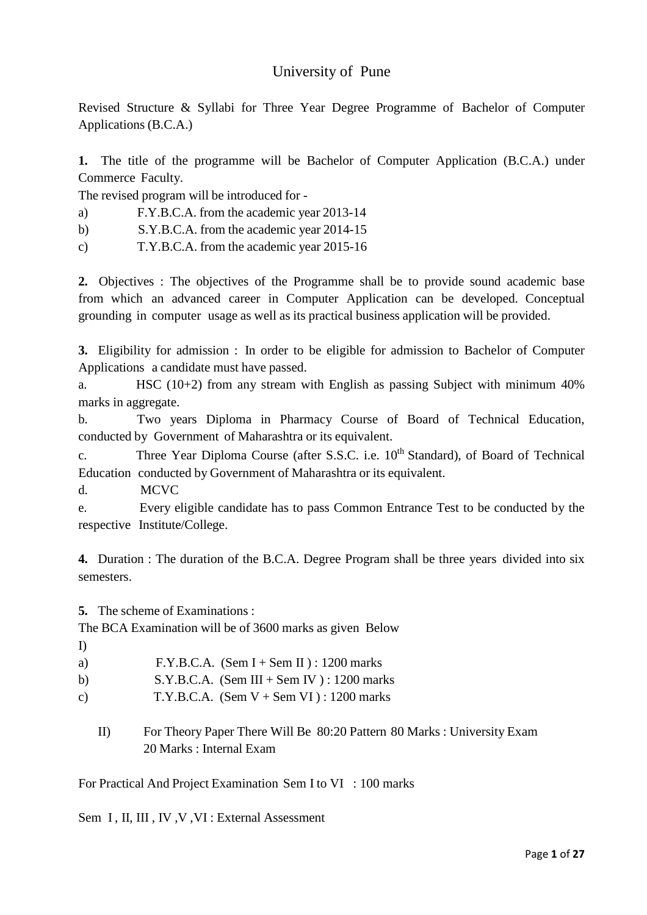## University of Pune

Revised Structure & Syllabi for Three Year Degree Programme of Bachelor of Computer Applications (B.C.A.)

**1.** The title of the programme will be Bachelor of Computer Application (B.C.A.) under Commerce Faculty.

The revised program will be introduced for -

- a) F.Y.B.C.A. from the academic year 2013-14
- b) S.Y.B.C.A. from the academic year 2014-15
- c) T.Y.B.C.A. from the academic year 2015-16

**2.** Objectives : The objectives of the Programme shall be to provide sound academic base from which an advanced career in Computer Application can be developed. Conceptual grounding in computer usage as well as its practical business application will be provided.

**3.** Eligibility for admission : In order to be eligible for admission to Bachelor of Computer Applications a candidate must have passed.

a. HSC (10+2) from any stream with English as passing Subject with minimum 40% marks in aggregate.

b. Two years Diploma in Pharmacy Course of Board of Technical Education, conducted by Government of Maharashtra or its equivalent.

c. Three Year Diploma Course (after S.S.C. i.e. 10<sup>th</sup> Standard), of Board of Technical Education conducted by Government of Maharashtra or its equivalent.

d. MCVC

e. Every eligible candidate has to pass Common Entrance Test to be conducted by the respective Institute/College.

**4.** Duration : The duration of the B.C.A. Degree Program shall be three years divided into six semesters.

**5.** The scheme of Examinations :

The BCA Examination will be of 3600 marks as given Below

- I)
- a)  $F.Y.B.C.A.$  (Sem I + Sem II) : 1200 marks
- b) S.Y.B.C.A. (Sem III + Sem IV) : 1200 marks
- c)  $T.Y.B.C.A.$  (Sem  $V +$  Sem  $VI$ ) : 1200 marks
	- II) For Theory Paper There Will Be 80:20 Pattern 80 Marks : University Exam 20 Marks : Internal Exam

For Practical And Project Examination Sem I to VI : 100 marks

Sem I, II, III, IV, V, VI: External Assessment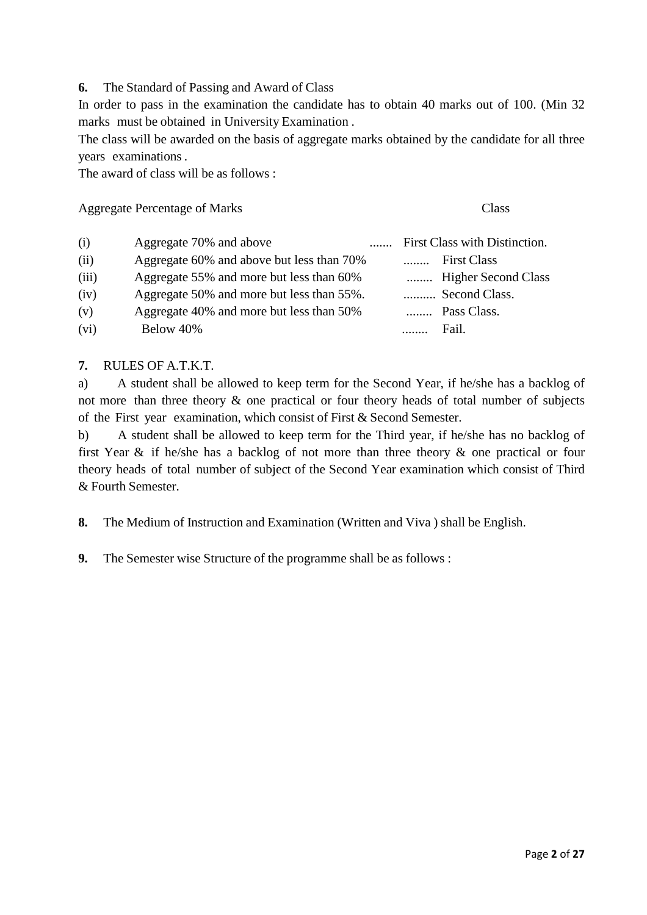**6.** The Standard of Passing and Award of Class

In order to pass in the examination the candidate has to obtain 40 marks out of 100. (Min 32 marks must be obtained in University Examination .

The class will be awarded on the basis of aggregate marks obtained by the candidate for all three years examinations .

The award of class will be as follows :

Aggregate Percentage of Marks Class

| (i)   | Aggregate 70% and above                   |  | First Class with Distinction. |
|-------|-------------------------------------------|--|-------------------------------|
| (ii)  | Aggregate 60% and above but less than 70% |  | <b>First Class</b>            |
| (iii) | Aggregate 55% and more but less than 60%  |  | Higher Second Class           |
| (iv)  | Aggregate 50% and more but less than 55%. |  | Second Class.                 |
| (v)   | Aggregate 40% and more but less than 50%  |  | Pass Class.                   |
| (vi)  | Below 40%                                 |  | Fail.                         |

#### **7.** RULES OF A.T.K.T.

a) A student shall be allowed to keep term for the Second Year, if he/she has a backlog of not more than three theory & one practical or four theory heads of total number of subjects of the First year examination, which consist of First & Second Semester.

b) A student shall be allowed to keep term for the Third year, if he/she has no backlog of first Year & if he/she has a backlog of not more than three theory & one practical or four theory heads of total number of subject of the Second Year examination which consist of Third & Fourth Semester.

**8.** The Medium of Instruction and Examination (Written and Viva ) shall be English.

**9.** The Semester wise Structure of the programme shall be as follows :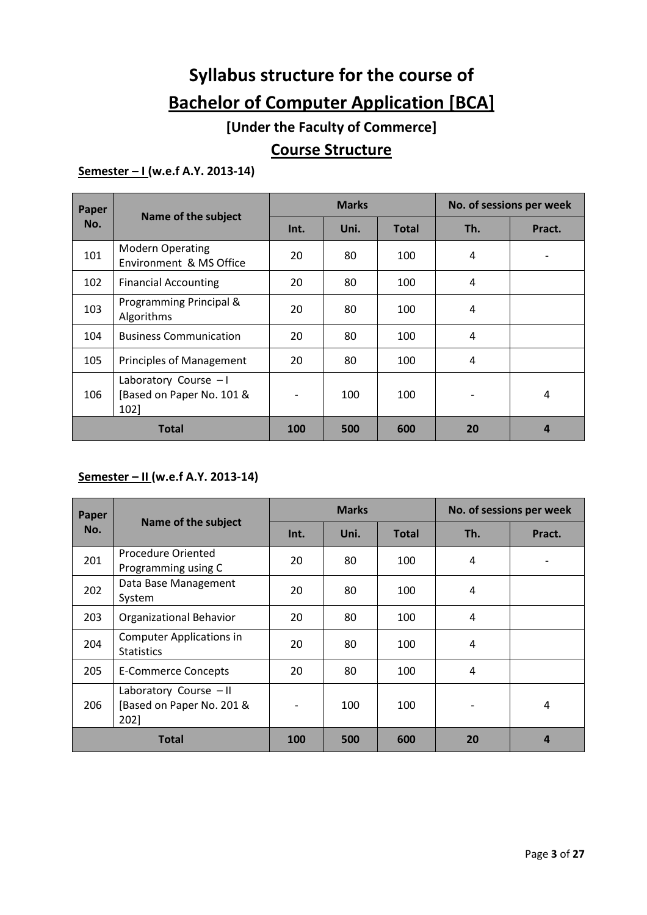# **Syllabus structure for the course of Bachelor of Computer Application [BCA]**

## **[Under the Faculty of Commerce]**

## **Course Structure**

## **Semester – I (w.e.f A.Y. 2013-14)**

| Paper |                                                            |            | <b>Marks</b> |              |     | No. of sessions per week |  |
|-------|------------------------------------------------------------|------------|--------------|--------------|-----|--------------------------|--|
| No.   | Name of the subject                                        | Int.       | Uni.         | <b>Total</b> | Th. | Pract.                   |  |
| 101   | <b>Modern Operating</b><br>Environment & MS Office         | 20         | 80           | 100          | 4   |                          |  |
| 102   | <b>Financial Accounting</b>                                | 20         | 80           | 100          | 4   |                          |  |
| 103   | Programming Principal &<br>Algorithms                      | 20         | 80           | 100          | 4   |                          |  |
| 104   | <b>Business Communication</b>                              | 20         | 80           | 100          | 4   |                          |  |
| 105   | <b>Principles of Management</b>                            | 20         | 80           | 100          | 4   |                          |  |
| 106   | Laboratory Course - I<br>[Based on Paper No. 101 &<br>102] |            | 100          | 100          |     | 4                        |  |
|       | <b>Total</b>                                               | <b>100</b> | 500          | 600          | 20  |                          |  |

## **Semester – II (w.e.f A.Y. 2013-14)**

| Paper        |                                                             |      | <b>Marks</b> |              | No. of sessions per week |        |
|--------------|-------------------------------------------------------------|------|--------------|--------------|--------------------------|--------|
| No.          | Name of the subject                                         | Int. | Uni.         | <b>Total</b> | Th.                      | Pract. |
| 201          | Procedure Oriented<br>Programming using C                   | 20   | 80           | 100          | 4                        |        |
| 202          | Data Base Management<br>System                              | 20   | 80           | 100          | 4                        |        |
| 203          | <b>Organizational Behavior</b>                              | 20   | 80           | 100          | $\overline{4}$           |        |
| 204          | <b>Computer Applications in</b><br><b>Statistics</b>        | 20   | 80           | 100          | $\overline{4}$           |        |
| 205          | E-Commerce Concepts                                         | 20   | 80           | 100          | 4                        |        |
| 206          | Laboratory Course - II<br>[Based on Paper No. 201 &<br>2021 |      | 100          | 100          | $\overline{\phantom{a}}$ | 4      |
| <b>Total</b> |                                                             | 100  | 500          | 600          | 20                       | 4      |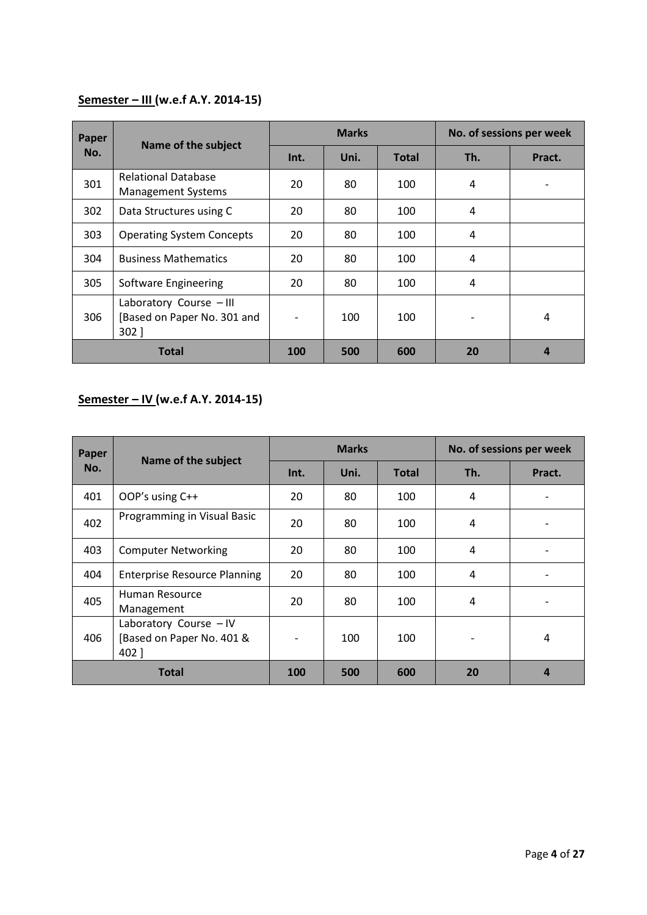## **Semester – III (w.e.f A.Y. 2014-15)**

| Paper        | Name of the subject                                               |      | <b>Marks</b> |              | No. of sessions per week |        |
|--------------|-------------------------------------------------------------------|------|--------------|--------------|--------------------------|--------|
| No.          |                                                                   | Int. | Uni.         | <b>Total</b> | Th.                      | Pract. |
| 301          | <b>Relational Database</b><br><b>Management Systems</b>           | 20   | 80           | 100          | 4                        |        |
| 302          | Data Structures using C                                           | 20   | 80           | 100          | 4                        |        |
| 303          | <b>Operating System Concepts</b>                                  | 20   | 80           | 100          | 4                        |        |
| 304          | <b>Business Mathematics</b>                                       | 20   | 80           | 100          | 4                        |        |
| 305          | Software Engineering                                              | 20   | 80           | 100          | $\overline{4}$           |        |
| 306          | Laboratory Course - III<br>[Based on Paper No. 301 and<br>$302$ ] |      | 100          | 100          |                          | 4      |
| <b>Total</b> |                                                                   | 100  | 500          | 600          | 20                       |        |

## **Semester – IV (w.e.f A.Y. 2014-15)**

| Paper        | Name of the subject                                          |      | <b>Marks</b> |              | No. of sessions per week |        |  |
|--------------|--------------------------------------------------------------|------|--------------|--------------|--------------------------|--------|--|
| No.          |                                                              | Int. | Uni.         | <b>Total</b> | Th.                      | Pract. |  |
| 401          | OOP's using C++                                              | 20   | 80           | 100          | 4                        |        |  |
| 402          | Programming in Visual Basic                                  | 20   | 80           | 100          | 4                        |        |  |
| 403          | <b>Computer Networking</b>                                   | 20   | 80           | 100          | 4                        |        |  |
| 404          | <b>Enterprise Resource Planning</b>                          | 20   | 80           | 100          | 4                        |        |  |
| 405          | Human Resource<br>Management                                 | 20   | 80           | 100          | 4                        |        |  |
| 406          | Laboratory Course - IV<br>[Based on Paper No. 401 &<br>402 ] |      | 100          | 100          |                          | 4      |  |
| <b>Total</b> |                                                              | 100  | 500          | 600          | 20                       |        |  |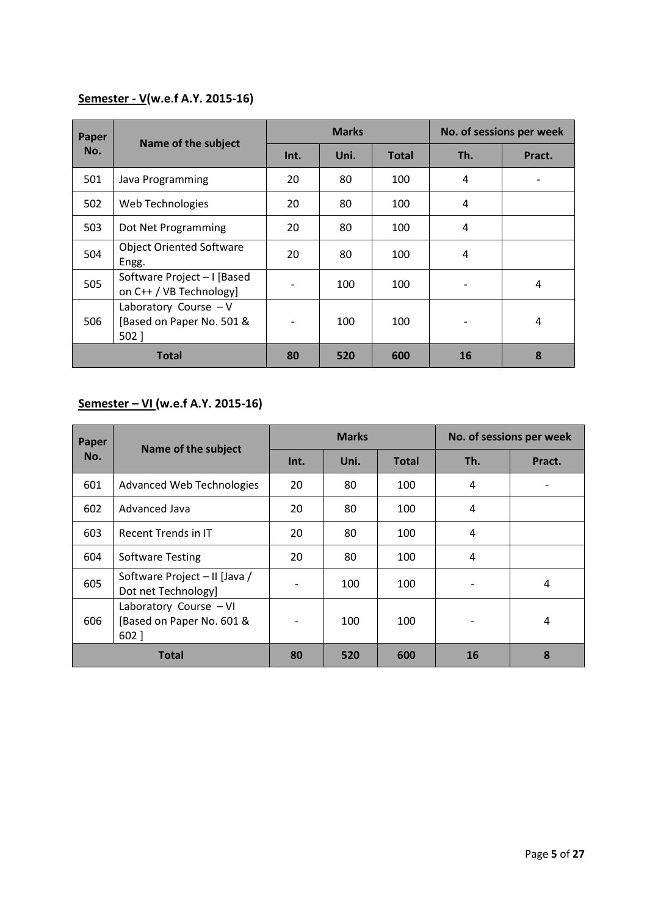## **Semester - V(w.e.f A.Y. 2015-16)**

| Paper        | Name of the subject                                          |      | <b>Marks</b> |              |           | No. of sessions per week |  |
|--------------|--------------------------------------------------------------|------|--------------|--------------|-----------|--------------------------|--|
| No.          |                                                              | Int. | Uni.         | <b>Total</b> | Th.       | Pract.                   |  |
| 501          | Java Programming                                             | 20   | 80           | 100          | 4         |                          |  |
| 502          | Web Technologies                                             | 20   | 80           | 100          | 4         |                          |  |
| 503          | Dot Net Programming                                          | 20   | 80           | 100          | 4         |                          |  |
| 504          | <b>Object Oriented Software</b><br>Engg.                     | 20   | 80           | 100          | 4         |                          |  |
| 505          | Software Project - I [Based<br>on C++ / VB Technology]       |      | 100          | 100          | -         | 4                        |  |
| 506          | Laboratory Course $-V$<br>[Based on Paper No. 501 &<br>502 ] |      | 100          | 100          |           | 4                        |  |
| <b>Total</b> |                                                              | 80   | 520          | 600          | <b>16</b> | 8                        |  |

## **Semester – VI (w.e.f A.Y. 2015-16)**

| Paper        |                                                                |                 | <b>Marks</b> |              | No. of sessions per week |        |
|--------------|----------------------------------------------------------------|-----------------|--------------|--------------|--------------------------|--------|
| No.          | Name of the subject                                            | Int.            | Uni.         | <b>Total</b> | Th.                      | Pract. |
| 601          | Advanced Web Technologies                                      | 20              | 80           | 100          | $\overline{4}$           |        |
| 602          | Advanced Java                                                  | 20              | 80           | 100          | $\overline{4}$           |        |
| 603          | Recent Trends in IT                                            | 20              | 80           | 100          | 4                        |        |
| 604          | <b>Software Testing</b>                                        | 20              | 80           | 100          | $\overline{4}$           |        |
| 605          | Software Project - II [Java /<br>Dot net Technology]           | $\qquad \qquad$ | 100          | 100          | $\overline{\phantom{a}}$ | 4      |
| 606          | Laboratory Course - VI<br>[Based on Paper No. 601 &<br>$602$ ] |                 | 100          | 100          |                          | 4      |
| <b>Total</b> |                                                                | 80              | 520          | 600          | 16                       | 8      |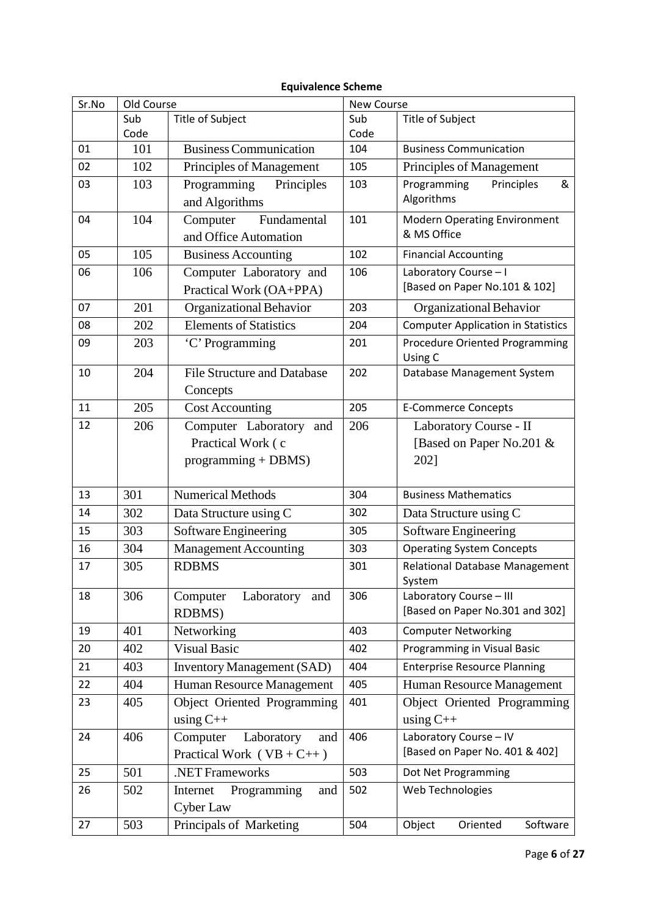## **Equivalence Scheme**

| Sr.No | Old Course |                                    | <b>New Course</b> |                                           |  |
|-------|------------|------------------------------------|-------------------|-------------------------------------------|--|
|       | Sub        | Title of Subject                   | Sub               | Title of Subject                          |  |
|       | Code       |                                    | Code              |                                           |  |
| 01    | 101        | <b>Business Communication</b>      | 104               | <b>Business Communication</b>             |  |
| 02    | 102        | Principles of Management           | 105               | Principles of Management                  |  |
| 03    | 103        | Programming<br>Principles          | 103               | Programming<br>Principles<br>&            |  |
|       |            | and Algorithms                     |                   | Algorithms                                |  |
| 04    | 104        | Fundamental<br>Computer            | 101               | <b>Modern Operating Environment</b>       |  |
|       |            | and Office Automation              |                   | & MS Office                               |  |
| 05    | 105        | <b>Business Accounting</b>         | 102               | <b>Financial Accounting</b>               |  |
| 06    | 106        | Computer Laboratory and            | 106               | Laboratory Course - I                     |  |
|       |            | Practical Work (OA+PPA)            |                   | [Based on Paper No.101 & 102]             |  |
| 07    | 201        | Organizational Behavior            | 203               | Organizational Behavior                   |  |
| 08    | 202        | <b>Elements of Statistics</b>      | 204               | <b>Computer Application in Statistics</b> |  |
| 09    | 203        | 'C' Programming                    | 201               | <b>Procedure Oriented Programming</b>     |  |
|       |            |                                    |                   | Using C                                   |  |
| 10    | 204        | <b>File Structure and Database</b> | 202               | Database Management System                |  |
|       |            | Concepts                           |                   |                                           |  |
| 11    | 205        | <b>Cost Accounting</b>             | 205               | <b>E-Commerce Concepts</b>                |  |
| 12    | 206        | Computer Laboratory and            | 206               | Laboratory Course - II                    |  |
|       |            | Practical Work (c                  |                   | [Based on Paper No.201 &                  |  |
|       |            | $programming + DBMS)$              |                   | 2021                                      |  |
|       |            |                                    |                   |                                           |  |
| 13    | 301        | <b>Numerical Methods</b>           | 304               | <b>Business Mathematics</b>               |  |
| 14    | 302        | Data Structure using C             | 302               | Data Structure using C                    |  |
| 15    | 303        | Software Engineering               | 305               | Software Engineering                      |  |
| 16    | 304        | <b>Management Accounting</b>       | 303               | <b>Operating System Concepts</b>          |  |
| 17    | 305        | <b>RDBMS</b>                       | 301               | Relational Database Management            |  |
|       |            |                                    |                   | System                                    |  |
| 18    | 306        | Computer<br>Laboratory<br>and      | 306               | Laboratory Course - III                   |  |
|       |            | RDBMS)                             |                   | [Based on Paper No.301 and 302]           |  |
| 19    | 401        | Networking                         | 403               | <b>Computer Networking</b>                |  |
| 20    | 402        | <b>Visual Basic</b>                | 402               | Programming in Visual Basic               |  |
| 21    | 403        | <b>Inventory Management (SAD)</b>  | 404               | <b>Enterprise Resource Planning</b>       |  |
| 22    | 404        | Human Resource Management          | 405               | Human Resource Management                 |  |
| 23    | 405        | <b>Object Oriented Programming</b> | 401               | Object Oriented Programming               |  |
|       |            | using $C++$                        |                   | using $C++$                               |  |
| 24    | 406        | Computer<br>Laboratory<br>and      | 406               | Laboratory Course - IV                    |  |
|       |            | Practical Work ( $VB + C++$ )      |                   | [Based on Paper No. 401 & 402]            |  |
| 25    | 501        | .NET Frameworks                    | 503               | Dot Net Programming                       |  |
| 26    | 502        | Programming<br>Internet<br>and     | 502               | Web Technologies                          |  |
|       |            | Cyber Law                          |                   |                                           |  |
| 27    | 503        | Principals of Marketing            | 504               | Object<br>Oriented<br>Software            |  |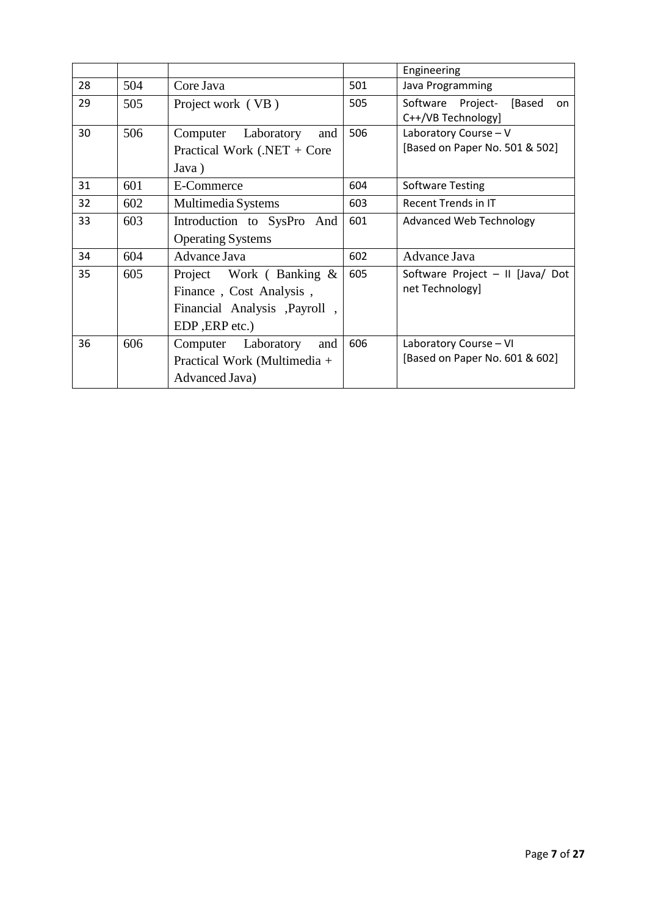|    |     |                               |     | Engineering                       |
|----|-----|-------------------------------|-----|-----------------------------------|
| 28 | 504 | Core Java                     | 501 | Java Programming                  |
| 29 | 505 | Project work (VB)             | 505 | Software Project-<br>[Based<br>on |
|    |     |                               |     | C++/VB Technology]                |
| 30 | 506 | Computer Laboratory<br>and    | 506 | Laboratory Course - V             |
|    |     | Practical Work (.NET + Core   |     | [Based on Paper No. 501 & 502]    |
|    |     | Java)                         |     |                                   |
| 31 | 601 | E-Commerce                    | 604 | <b>Software Testing</b>           |
| 32 | 602 | Multimedia Systems            | 603 | Recent Trends in IT               |
| 33 | 603 | Introduction to SysPro And    | 601 | <b>Advanced Web Technology</b>    |
|    |     | <b>Operating Systems</b>      |     |                                   |
| 34 | 604 | Advance Java                  | 602 | Advance Java                      |
| 35 | 605 | Project Work (Banking &       | 605 | Software Project - II [Java/ Dot  |
|    |     | Finance, Cost Analysis,       |     | net Technology]                   |
|    |     | Financial Analysis , Payroll, |     |                                   |
|    |     | EDP, ERP etc.)                |     |                                   |
| 36 | 606 | Computer Laboratory<br>and    | 606 | Laboratory Course - VI            |
|    |     | Practical Work (Multimedia +  |     | [Based on Paper No. 601 & 602]    |
|    |     | Advanced Java)                |     |                                   |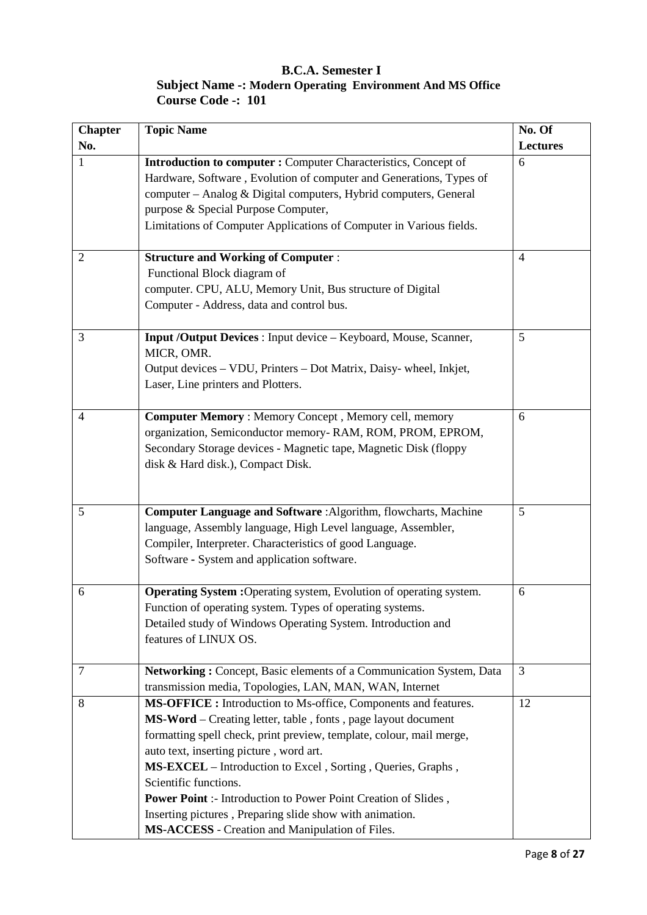### **B.C.A. Semester I Subject Name -: Modern Operating Environment And MS Office Course Code -: 101**

| <b>Chapter</b> | <b>Topic Name</b>                                                                                                                                                                                                                                                                                                                                                                                                                                                                                                           | No. Of         |
|----------------|-----------------------------------------------------------------------------------------------------------------------------------------------------------------------------------------------------------------------------------------------------------------------------------------------------------------------------------------------------------------------------------------------------------------------------------------------------------------------------------------------------------------------------|----------------|
| No.            |                                                                                                                                                                                                                                                                                                                                                                                                                                                                                                                             | Lectures       |
| 1              | <b>Introduction to computer :</b> Computer Characteristics, Concept of<br>Hardware, Software, Evolution of computer and Generations, Types of<br>computer - Analog & Digital computers, Hybrid computers, General<br>purpose & Special Purpose Computer,<br>Limitations of Computer Applications of Computer in Various fields.                                                                                                                                                                                             | 6              |
| 2              | <b>Structure and Working of Computer:</b><br>Functional Block diagram of<br>computer. CPU, ALU, Memory Unit, Bus structure of Digital<br>Computer - Address, data and control bus.                                                                                                                                                                                                                                                                                                                                          | $\overline{4}$ |
| 3              | Input /Output Devices : Input device - Keyboard, Mouse, Scanner,<br>MICR, OMR.<br>Output devices - VDU, Printers - Dot Matrix, Daisy- wheel, Inkjet,<br>Laser, Line printers and Plotters.                                                                                                                                                                                                                                                                                                                                  | 5              |
| 4              | <b>Computer Memory: Memory Concept, Memory cell, memory</b><br>organization, Semiconductor memory-RAM, ROM, PROM, EPROM,<br>Secondary Storage devices - Magnetic tape, Magnetic Disk (floppy<br>disk & Hard disk.), Compact Disk.                                                                                                                                                                                                                                                                                           | 6              |
| 5              | Computer Language and Software : Algorithm, flowcharts, Machine<br>language, Assembly language, High Level language, Assembler,<br>Compiler, Interpreter. Characteristics of good Language.<br>Software - System and application software.                                                                                                                                                                                                                                                                                  | 5              |
| 6              | Operating System : Operating system, Evolution of operating system.<br>Function of operating system. Types of operating systems.<br>Detailed study of Windows Operating System. Introduction and<br>features of LINUX OS.                                                                                                                                                                                                                                                                                                   | 6              |
| $\overline{7}$ | Networking: Concept, Basic elements of a Communication System, Data<br>transmission media, Topologies, LAN, MAN, WAN, Internet                                                                                                                                                                                                                                                                                                                                                                                              | 3              |
| 8              | MS-OFFICE: Introduction to Ms-office, Components and features.<br>MS-Word – Creating letter, table, fonts, page layout document<br>formatting spell check, print preview, template, colour, mail merge,<br>auto text, inserting picture, word art.<br>MS-EXCEL - Introduction to Excel, Sorting, Queries, Graphs,<br>Scientific functions.<br>Power Point :- Introduction to Power Point Creation of Slides,<br>Inserting pictures, Preparing slide show with animation.<br>MS-ACCESS - Creation and Manipulation of Files. | 12             |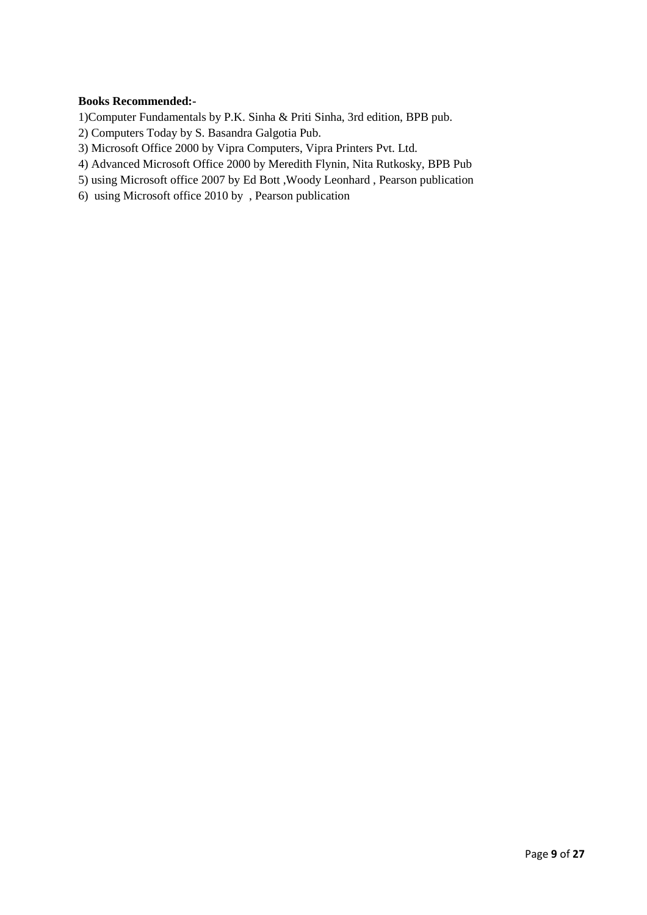#### **Books Recommended:-**

1)Computer Fundamentals by P.K. Sinha & Priti Sinha, 3rd edition, BPB pub.

- 2) Computers Today by S. Basandra Galgotia Pub.
- 3) Microsoft Office 2000 by Vipra Computers, Vipra Printers Pvt. Ltd.
- 4) Advanced Microsoft Office 2000 by Meredith Flynin, Nita Rutkosky, BPB Pub
- 5) using Microsoft office 2007 by Ed Bott ,Woody Leonhard , Pearson publication
- 6) using Microsoft office 2010 by , Pearson publication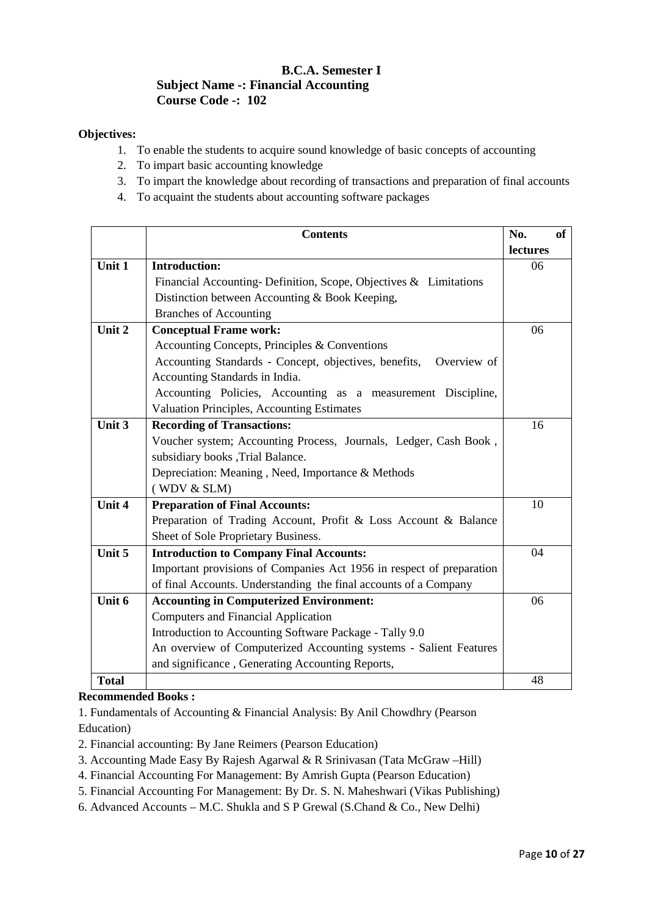#### **B.C.A. Semester I Subject Name -: Financial Accounting Course Code -: 102**

#### **Objectives:**

- 1. To enable the students to acquire sound knowledge of basic concepts of accounting
- 2. To impart basic accounting knowledge
- 3. To impart the knowledge about recording of transactions and preparation of final accounts
- 4. To acquaint the students about accounting software packages

|              | <b>Contents</b>                                                      | No.      | <b>of</b> |
|--------------|----------------------------------------------------------------------|----------|-----------|
|              |                                                                      | lectures |           |
| Unit 1       | <b>Introduction:</b>                                                 | 06       |           |
|              | Financial Accounting-Definition, Scope, Objectives $&$ Limitations   |          |           |
|              | Distinction between Accounting & Book Keeping,                       |          |           |
|              | <b>Branches of Accounting</b>                                        |          |           |
| Unit 2       | <b>Conceptual Frame work:</b>                                        | 06       |           |
|              | Accounting Concepts, Principles & Conventions                        |          |           |
|              | Accounting Standards - Concept, objectives, benefits,<br>Overview of |          |           |
|              | Accounting Standards in India.                                       |          |           |
|              | Accounting Policies, Accounting as a measurement Discipline,         |          |           |
|              | Valuation Principles, Accounting Estimates                           |          |           |
| Unit 3       | <b>Recording of Transactions:</b>                                    | 16       |           |
|              | Voucher system; Accounting Process, Journals, Ledger, Cash Book,     |          |           |
|              | subsidiary books , Trial Balance.                                    |          |           |
|              | Depreciation: Meaning, Need, Importance & Methods                    |          |           |
|              | (WDV & SLM)                                                          |          |           |
| Unit 4       | <b>Preparation of Final Accounts:</b>                                | 10       |           |
|              | Preparation of Trading Account, Profit & Loss Account & Balance      |          |           |
|              | Sheet of Sole Proprietary Business.                                  |          |           |
| Unit 5       | <b>Introduction to Company Final Accounts:</b>                       | 04       |           |
|              | Important provisions of Companies Act 1956 in respect of preparation |          |           |
|              | of final Accounts. Understanding the final accounts of a Company     |          |           |
| Unit 6       | <b>Accounting in Computerized Environment:</b>                       | 06       |           |
|              | <b>Computers and Financial Application</b>                           |          |           |
|              | Introduction to Accounting Software Package - Tally 9.0              |          |           |
|              | An overview of Computerized Accounting systems - Salient Features    |          |           |
|              | and significance, Generating Accounting Reports,                     |          |           |
| <b>Total</b> |                                                                      | 48       |           |

#### **Recommended Books :**

1. Fundamentals of Accounting & Financial Analysis: By Anil Chowdhry (Pearson Education)

- 2. Financial accounting: By Jane Reimers (Pearson Education)
- 3. Accounting Made Easy By Rajesh Agarwal & R Srinivasan (Tata McGraw –Hill)
- 4. Financial Accounting For Management: By Amrish Gupta (Pearson Education)
- 5. Financial Accounting For Management: By Dr. S. N. Maheshwari (Vikas Publishing)
- 6. Advanced Accounts M.C. Shukla and S P Grewal (S.Chand & Co., New Delhi)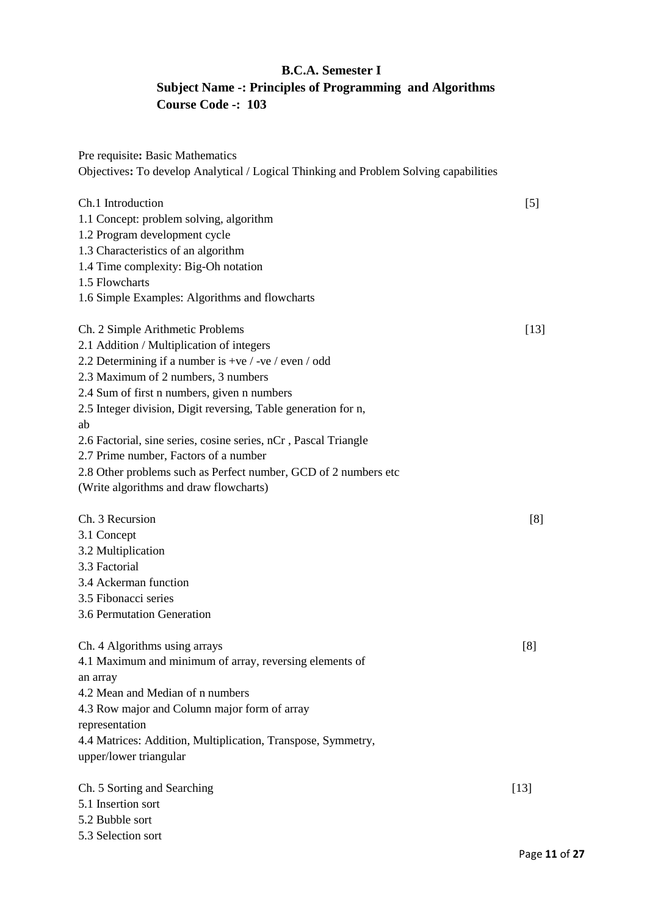## **B.C.A. Semester I Subject Name -: Principles of Programming and Algorithms Course Code -: 103**

| Pre requisite: Basic Mathematics<br>Objectives: To develop Analytical / Logical Thinking and Problem Solving capabilities |        |
|---------------------------------------------------------------------------------------------------------------------------|--------|
|                                                                                                                           |        |
| Ch.1 Introduction                                                                                                         | [5]    |
| 1.1 Concept: problem solving, algorithm                                                                                   |        |
| 1.2 Program development cycle                                                                                             |        |
| 1.3 Characteristics of an algorithm                                                                                       |        |
| 1.4 Time complexity: Big-Oh notation                                                                                      |        |
| 1.5 Flowcharts                                                                                                            |        |
| 1.6 Simple Examples: Algorithms and flowcharts                                                                            |        |
| Ch. 2 Simple Arithmetic Problems                                                                                          | $[13]$ |
| 2.1 Addition / Multiplication of integers                                                                                 |        |
| 2.2 Determining if a number is +ve / -ve / even / odd                                                                     |        |
| 2.3 Maximum of 2 numbers, 3 numbers                                                                                       |        |
| 2.4 Sum of first n numbers, given n numbers                                                                               |        |
| 2.5 Integer division, Digit reversing, Table generation for n,                                                            |        |
| ab                                                                                                                        |        |
| 2.6 Factorial, sine series, cosine series, nCr, Pascal Triangle                                                           |        |
| 2.7 Prime number, Factors of a number                                                                                     |        |
| 2.8 Other problems such as Perfect number, GCD of 2 numbers etc                                                           |        |
| (Write algorithms and draw flowcharts)                                                                                    |        |
| Ch. 3 Recursion                                                                                                           | [8]    |
| 3.1 Concept                                                                                                               |        |
| 3.2 Multiplication                                                                                                        |        |
| 3.3 Factorial                                                                                                             |        |
| 3.4 Ackerman function                                                                                                     |        |
| 3.5 Fibonacci series                                                                                                      |        |
| 3.6 Permutation Generation                                                                                                |        |
| Ch. 4 Algorithms using arrays                                                                                             | [8]    |
| 4.1 Maximum and minimum of array, reversing elements of                                                                   |        |
| an array                                                                                                                  |        |
| 4.2 Mean and Median of n numbers                                                                                          |        |
| 4.3 Row major and Column major form of array                                                                              |        |
| representation                                                                                                            |        |
| 4.4 Matrices: Addition, Multiplication, Transpose, Symmetry,                                                              |        |
| upper/lower triangular                                                                                                    |        |
| Ch. 5 Sorting and Searching                                                                                               | $[13]$ |
| 5.1 Insertion sort                                                                                                        |        |
| 5.2 Bubble sort                                                                                                           |        |
| 5.3 Selection sort                                                                                                        |        |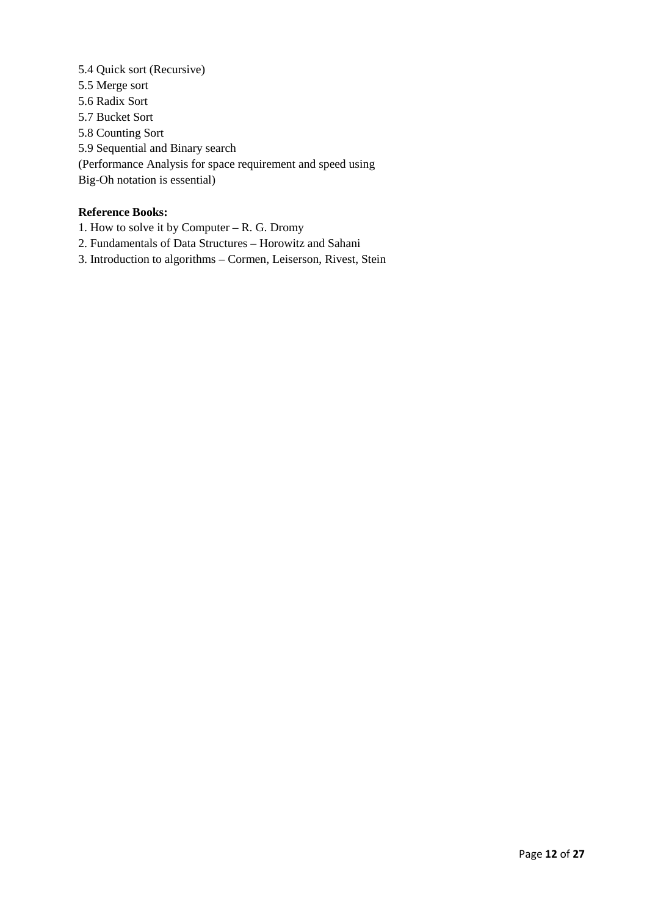5.4 Quick sort (Recursive) 5.5 Merge sort 5.6 Radix Sort 5.7 Bucket Sort 5.8 Counting Sort 5.9 Sequential and Binary search (Performance Analysis for space requirement and speed using Big-Oh notation is essential)

#### **Reference Books:**

1. How to solve it by Computer – R. G. Dromy

- 2. Fundamentals of Data Structures Horowitz and Sahani
- 3. Introduction to algorithms Cormen, Leiserson, Rivest, Stein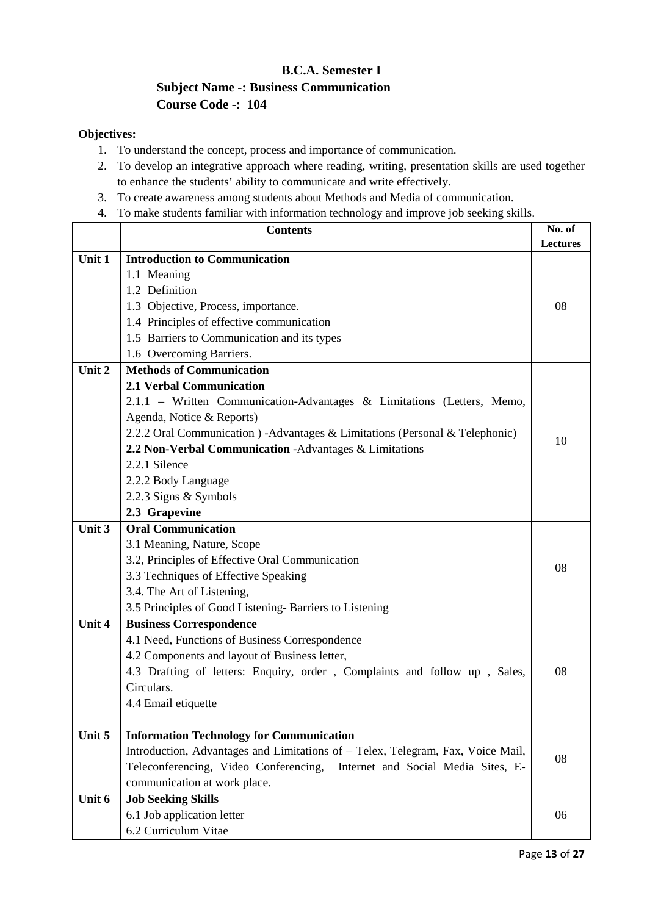## **B.C.A. Semester I Subject Name -: Business Communication Course Code -: 104**

#### **Objectives:**

- 1. To understand the concept, process and importance of communication.
- 2. To develop an integrative approach where reading, writing, presentation skills are used together to enhance the students' ability to communicate and write effectively.
- 3. To create awareness among students about Methods and Media of communication.
- 4. To make students familiar with information technology and improve job seeking skills.

|        | <b>Contents</b>                                                                 | No. of          |
|--------|---------------------------------------------------------------------------------|-----------------|
|        |                                                                                 | <b>Lectures</b> |
| Unit 1 | <b>Introduction to Communication</b>                                            |                 |
|        | 1.1 Meaning                                                                     |                 |
|        | 1.2 Definition                                                                  |                 |
|        | 1.3 Objective, Process, importance.                                             | 08              |
|        | 1.4 Principles of effective communication                                       |                 |
|        | 1.5 Barriers to Communication and its types                                     |                 |
|        | 1.6 Overcoming Barriers.                                                        |                 |
| Unit 2 | <b>Methods of Communication</b>                                                 |                 |
|        | <b>2.1 Verbal Communication</b>                                                 |                 |
|        | 2.1.1 - Written Communication-Advantages & Limitations (Letters, Memo,          |                 |
|        | Agenda, Notice & Reports)                                                       |                 |
|        | 2.2.2 Oral Communication ) - Advantages & Limitations (Personal & Telephonic)   | 10              |
|        | 2.2 Non-Verbal Communication -Advantages & Limitations                          |                 |
|        | 2.2.1 Silence                                                                   |                 |
|        | 2.2.2 Body Language                                                             |                 |
|        | 2.2.3 Signs & Symbols                                                           |                 |
|        | 2.3 Grapevine                                                                   |                 |
| Unit 3 | <b>Oral Communication</b>                                                       |                 |
|        | 3.1 Meaning, Nature, Scope                                                      |                 |
|        | 3.2, Principles of Effective Oral Communication                                 | 08              |
|        | 3.3 Techniques of Effective Speaking                                            |                 |
|        | 3.4. The Art of Listening,                                                      |                 |
|        | 3.5 Principles of Good Listening-Barriers to Listening                          |                 |
| Unit 4 | <b>Business Correspondence</b>                                                  |                 |
|        | 4.1 Need, Functions of Business Correspondence                                  |                 |
|        | 4.2 Components and layout of Business letter,                                   |                 |
|        | 4.3 Drafting of letters: Enquiry, order, Complaints and follow up, Sales,       | 08              |
|        | Circulars.                                                                      |                 |
|        | 4.4 Email etiquette                                                             |                 |
|        |                                                                                 |                 |
| Unit 5 | <b>Information Technology for Communication</b>                                 |                 |
|        | Introduction, Advantages and Limitations of - Telex, Telegram, Fax, Voice Mail, | 08              |
|        | Teleconferencing, Video Conferencing,<br>Internet and Social Media Sites, E-    |                 |
|        | communication at work place.                                                    |                 |
| Unit 6 | <b>Job Seeking Skills</b>                                                       |                 |
|        | 6.1 Job application letter                                                      | 06              |
|        | 6.2 Curriculum Vitae                                                            |                 |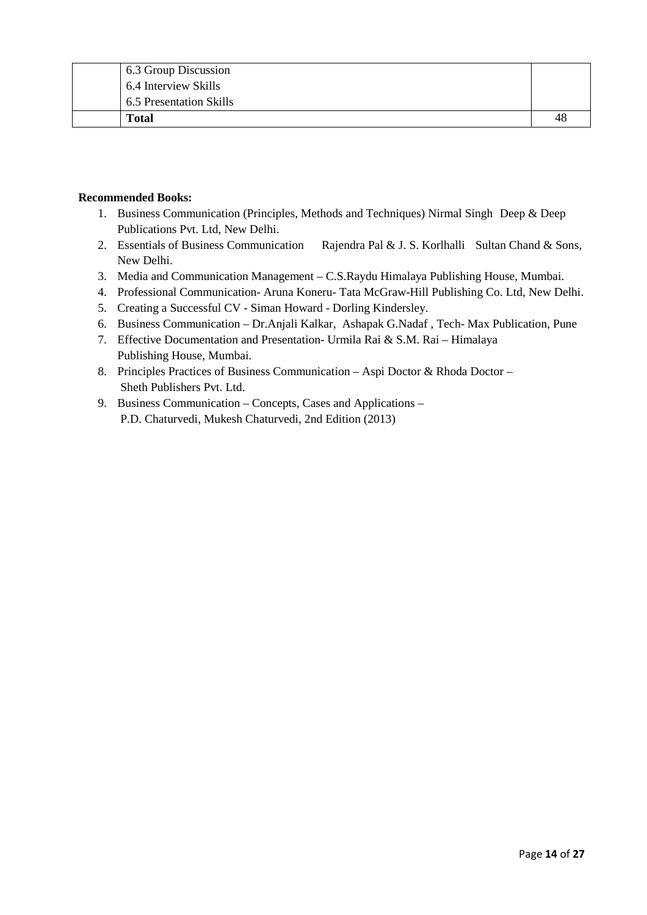| 6.3 Group Discussion    |    |
|-------------------------|----|
| 6.4 Interview Skills    |    |
| 6.5 Presentation Skills |    |
| <b>Total</b>            | 48 |

#### **Recommended Books:**

- 1. Business Communication (Principles, Methods and Techniques) Nirmal Singh Deep & Deep Publications Pvt. Ltd, New Delhi.
- 2. Essentials of Business Communication Rajendra Pal & J. S. Korlhalli Sultan Chand & Sons, New Delhi.
- 3. Media and Communication Management C.S.Raydu Himalaya Publishing House, Mumbai.
- 4. Professional Communication- Aruna Koneru- Tata McGraw-Hill Publishing Co. Ltd, New Delhi.
- 5. Creating a Successful CV Siman Howard Dorling Kindersley.
- 6. Business Communication Dr.Anjali Kalkar, Ashapak G.Nadaf , Tech- Max Publication, Pune
- 7. Effective Documentation and Presentation- Urmila Rai & S.M. Rai Himalaya Publishing House, Mumbai.
- 8. Principles Practices of Business Communication Aspi Doctor & Rhoda Doctor Sheth Publishers Pvt. Ltd.
- 9. Business Communication Concepts, Cases and Applications P.D. Chaturvedi, Mukesh Chaturvedi, 2nd Edition (2013)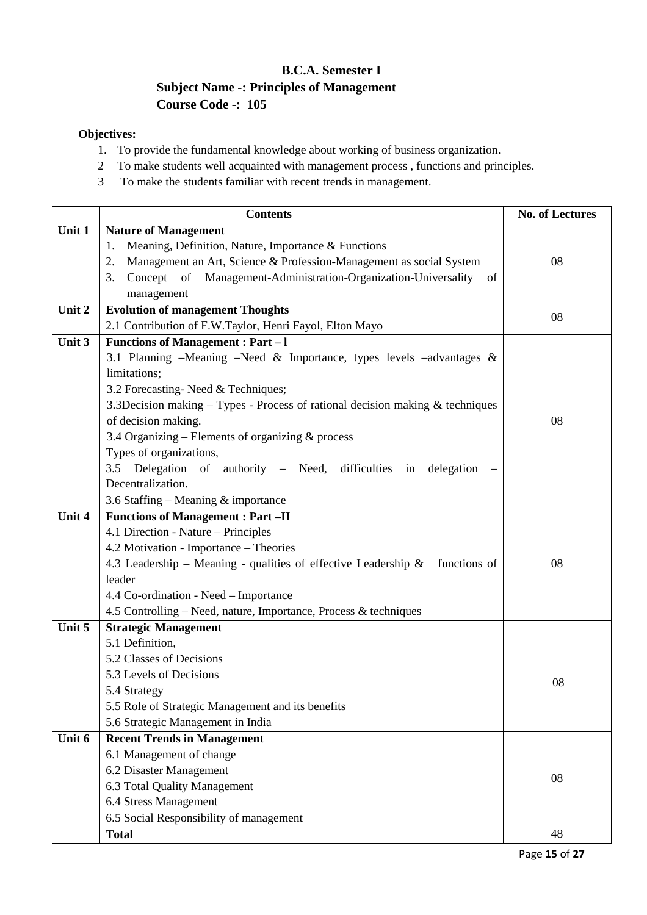## **B.C.A. Semester I Subject Name -: Principles of Management Course Code -: 105**

### **Objectives:**

- 1. To provide the fundamental knowledge about working of business organization.
- 2 To make students well acquainted with management process , functions and principles.
- 3 To make the students familiar with recent trends in management.

|        | <b>Contents</b>                                                                    | <b>No. of Lectures</b> |
|--------|------------------------------------------------------------------------------------|------------------------|
| Unit 1 | <b>Nature of Management</b>                                                        |                        |
|        | Meaning, Definition, Nature, Importance & Functions<br>1.                          |                        |
|        | Management an Art, Science & Profession-Management as social System<br>2.          | 08                     |
|        | Management-Administration-Organization-Universality<br>3.<br>Concept of<br>- of    |                        |
|        | management                                                                         |                        |
| Unit 2 | <b>Evolution of management Thoughts</b>                                            | 08                     |
|        | 2.1 Contribution of F.W.Taylor, Henri Fayol, Elton Mayo                            |                        |
| Unit 3 | <b>Functions of Management : Part - I</b>                                          |                        |
|        | 3.1 Planning -Meaning -Need & Importance, types levels -advantages $\&$            |                        |
|        | limitations;                                                                       |                        |
|        | 3.2 Forecasting-Need & Techniques;                                                 |                        |
|        | 3.3Decision making $-$ Types - Process of rational decision making $\&$ techniques |                        |
|        | of decision making.                                                                | 08                     |
|        | 3.4 Organizing - Elements of organizing & process                                  |                        |
|        | Types of organizations,                                                            |                        |
|        | 3.5 Delegation of authority - Need, difficulties in delegation                     |                        |
|        | Decentralization.                                                                  |                        |
|        | 3.6 Staffing – Meaning $&$ importance                                              |                        |
| Unit 4 | <b>Functions of Management : Part -II</b>                                          |                        |
|        | 4.1 Direction - Nature - Principles                                                |                        |
|        | 4.2 Motivation - Importance - Theories                                             |                        |
|        | 4.3 Leadership – Meaning - qualities of effective Leadership $\&$<br>functions of  | 08                     |
|        | leader                                                                             |                        |
|        | 4.4 Co-ordination - Need - Importance                                              |                        |
|        | 4.5 Controlling – Need, nature, Importance, Process & techniques                   |                        |
| Unit 5 | <b>Strategic Management</b>                                                        |                        |
|        | 5.1 Definition,                                                                    |                        |
|        | 5.2 Classes of Decisions                                                           |                        |
|        | 5.3 Levels of Decisions                                                            | 08                     |
|        | 5.4 Strategy                                                                       |                        |
|        | 5.5 Role of Strategic Management and its benefits                                  |                        |
|        | 5.6 Strategic Management in India                                                  |                        |
| Unit 6 | <b>Recent Trends in Management</b>                                                 |                        |
|        | 6.1 Management of change                                                           |                        |
|        | 6.2 Disaster Management                                                            | 08                     |
|        | 6.3 Total Quality Management                                                       |                        |
|        | 6.4 Stress Management                                                              |                        |
|        | 6.5 Social Responsibility of management                                            |                        |
|        | <b>Total</b>                                                                       | 48                     |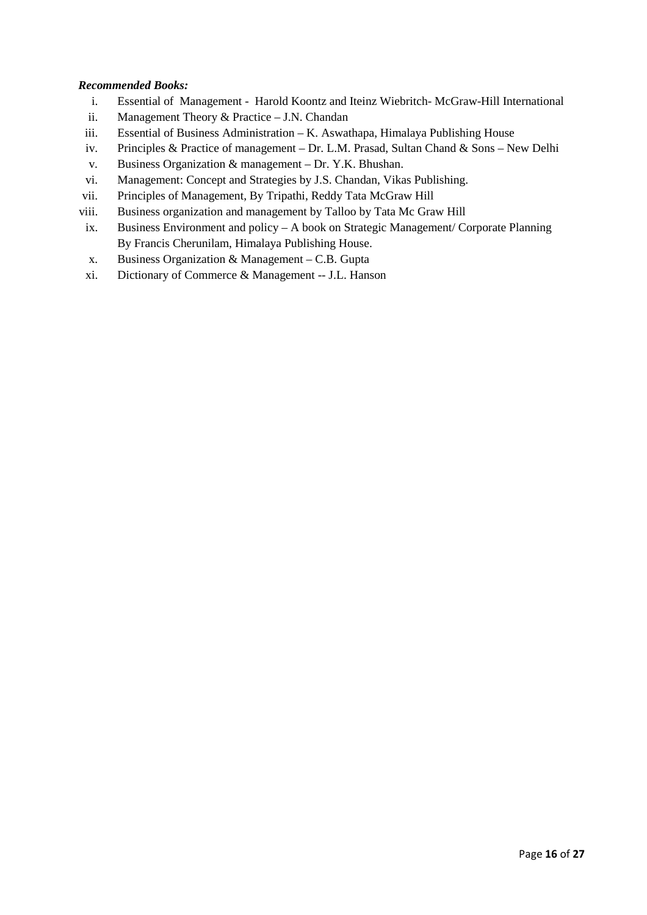#### *Recommended Books:*

- i. Essential of Management Harold Koontz and Iteinz Wiebritch- McGraw-Hill International
- ii. Management Theory & Practice J.N. Chandan
- iii. Essential of Business Administration K. Aswathapa, Himalaya Publishing House
- iv. Principles & Practice of management Dr. L.M. Prasad, Sultan Chand & Sons New Delhi
- v. Business Organization & management Dr. Y.K. Bhushan.
- vi. Management: Concept and Strategies by J.S. Chandan, Vikas Publishing.
- vii. Principles of Management, By Tripathi, Reddy Tata McGraw Hill
- viii. Business organization and management by Talloo by Tata Mc Graw Hill
- ix. Business Environment and policy A book on Strategic Management/ Corporate Planning By Francis Cherunilam, Himalaya Publishing House.
- x. Business Organization & Management C.B. Gupta
- xi. Dictionary of Commerce & Management -- J.L. Hanson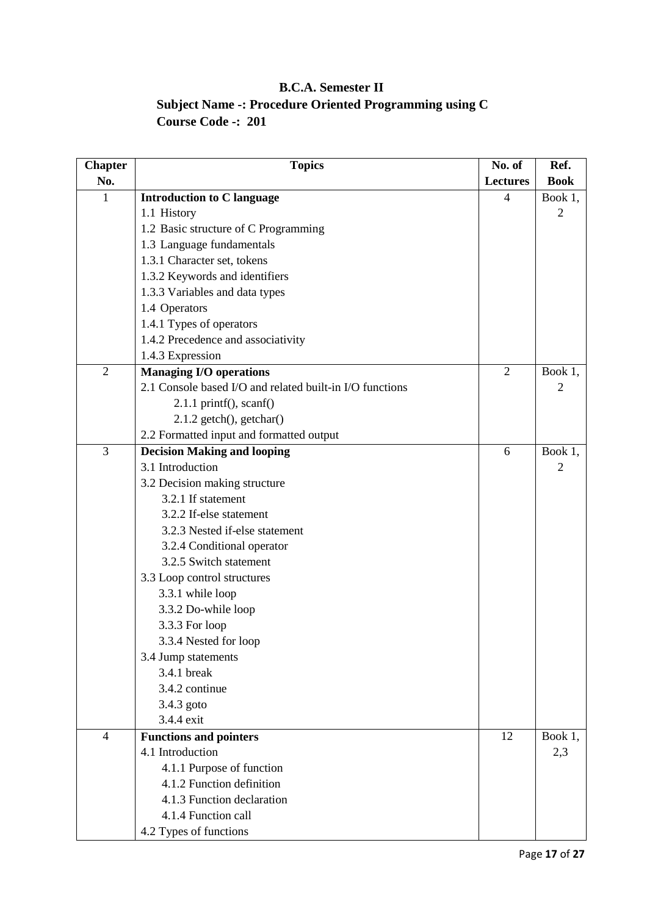## **B.C.A. Semester II Subject Name -: Procedure Oriented Programming using C Course Code -: 201**

| <b>Chapter</b> | <b>Topics</b>                                            | No. of          | Ref.        |
|----------------|----------------------------------------------------------|-----------------|-------------|
| No.            |                                                          | <b>Lectures</b> | <b>Book</b> |
| $\mathbf{1}$   | <b>Introduction to C language</b>                        | 4               | Book 1,     |
|                | 1.1 History                                              |                 | 2           |
|                | 1.2 Basic structure of C Programming                     |                 |             |
|                | 1.3 Language fundamentals                                |                 |             |
|                | 1.3.1 Character set, tokens                              |                 |             |
|                | 1.3.2 Keywords and identifiers                           |                 |             |
|                | 1.3.3 Variables and data types                           |                 |             |
|                | 1.4 Operators                                            |                 |             |
|                | 1.4.1 Types of operators                                 |                 |             |
|                | 1.4.2 Precedence and associativity                       |                 |             |
|                | 1.4.3 Expression                                         |                 |             |
| $\mathfrak{2}$ | <b>Managing I/O operations</b>                           | $\overline{2}$  | Book 1,     |
|                | 2.1 Console based I/O and related built-in I/O functions |                 | 2           |
|                | $2.1.1$ printf(), scanf()                                |                 |             |
|                | $2.1.2$ getch $()$ , getchar $()$                        |                 |             |
|                | 2.2 Formatted input and formatted output                 |                 |             |
| 3              | <b>Decision Making and looping</b>                       | 6               | Book 1,     |
|                | 3.1 Introduction                                         |                 | 2           |
|                | 3.2 Decision making structure                            |                 |             |
|                | 3.2.1 If statement                                       |                 |             |
|                | 3.2.2 If-else statement                                  |                 |             |
|                | 3.2.3 Nested if-else statement                           |                 |             |
|                | 3.2.4 Conditional operator                               |                 |             |
|                | 3.2.5 Switch statement                                   |                 |             |
|                | 3.3 Loop control structures                              |                 |             |
|                | 3.3.1 while loop                                         |                 |             |
|                | 3.3.2 Do-while loop                                      |                 |             |
|                | 3.3.3 For loop                                           |                 |             |
|                | 3.3.4 Nested for loop                                    |                 |             |
|                | 3.4 Jump statements                                      |                 |             |
|                | 3.4.1 break                                              |                 |             |
|                | 3.4.2 continue                                           |                 |             |
|                | 3.4.3 goto                                               |                 |             |
|                | 3.4.4 exit                                               |                 |             |
| $\overline{4}$ | <b>Functions and pointers</b>                            | 12              | Book 1,     |
|                | 4.1 Introduction                                         |                 | 2,3         |
|                | 4.1.1 Purpose of function                                |                 |             |
|                | 4.1.2 Function definition                                |                 |             |
|                | 4.1.3 Function declaration                               |                 |             |
|                | 4.1.4 Function call                                      |                 |             |
|                | 4.2 Types of functions                                   |                 |             |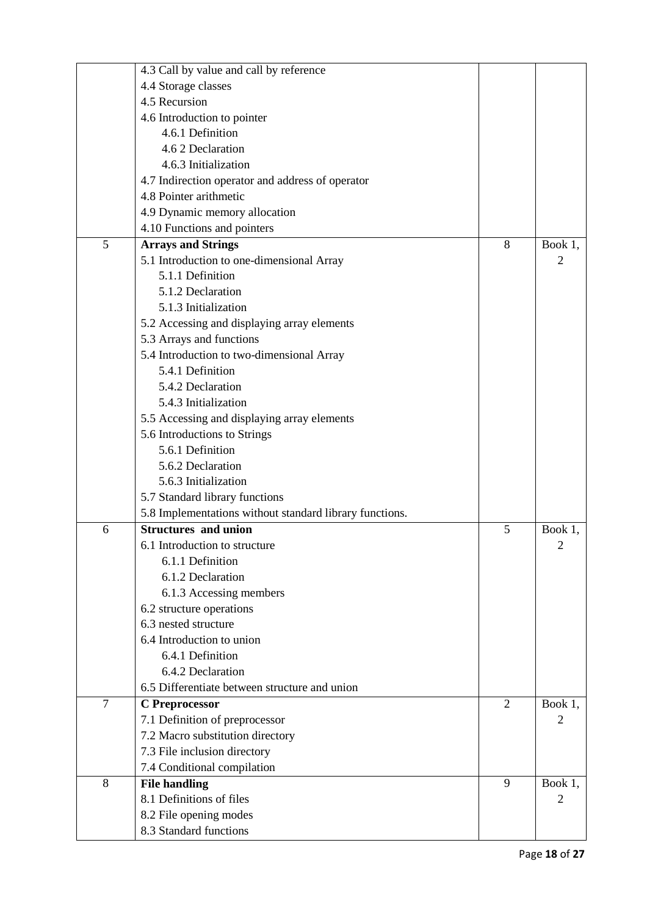|                | 4.3 Call by value and call by reference                 |                |                |
|----------------|---------------------------------------------------------|----------------|----------------|
|                | 4.4 Storage classes                                     |                |                |
|                | 4.5 Recursion                                           |                |                |
|                | 4.6 Introduction to pointer                             |                |                |
|                | 4.6.1 Definition                                        |                |                |
|                | 4.6 2 Declaration                                       |                |                |
|                | 4.6.3 Initialization                                    |                |                |
|                | 4.7 Indirection operator and address of operator        |                |                |
|                | 4.8 Pointer arithmetic                                  |                |                |
|                | 4.9 Dynamic memory allocation                           |                |                |
|                | 4.10 Functions and pointers                             |                |                |
| 5              | <b>Arrays and Strings</b>                               | 8              | Book 1,        |
|                | 5.1 Introduction to one-dimensional Array               |                | 2              |
|                | 5.1.1 Definition                                        |                |                |
|                | 5.1.2 Declaration                                       |                |                |
|                | 5.1.3 Initialization                                    |                |                |
|                | 5.2 Accessing and displaying array elements             |                |                |
|                | 5.3 Arrays and functions                                |                |                |
|                | 5.4 Introduction to two-dimensional Array               |                |                |
|                | 5.4.1 Definition                                        |                |                |
|                | 5.4.2 Declaration                                       |                |                |
|                | 5.4.3 Initialization                                    |                |                |
|                | 5.5 Accessing and displaying array elements             |                |                |
|                | 5.6 Introductions to Strings                            |                |                |
|                | 5.6.1 Definition                                        |                |                |
|                | 5.6.2 Declaration                                       |                |                |
|                | 5.6.3 Initialization                                    |                |                |
|                | 5.7 Standard library functions                          |                |                |
|                | 5.8 Implementations without standard library functions. |                |                |
| 6              | <b>Structures and union</b>                             | 5              | Book 1,        |
|                | 6.1 Introduction to structure                           |                | $\overline{c}$ |
|                | 6.1.1 Definition                                        |                |                |
|                | 6.1.2 Declaration                                       |                |                |
|                | 6.1.3 Accessing members                                 |                |                |
|                | 6.2 structure operations                                |                |                |
|                | 6.3 nested structure                                    |                |                |
|                | 6.4 Introduction to union                               |                |                |
|                | 6.4.1 Definition                                        |                |                |
|                | 6.4.2 Declaration                                       |                |                |
|                | 6.5 Differentiate between structure and union           |                |                |
| $\overline{7}$ | C Preprocessor                                          | $\overline{2}$ | Book 1,        |
|                | 7.1 Definition of preprocessor                          |                | 2              |
|                | 7.2 Macro substitution directory                        |                |                |
|                | 7.3 File inclusion directory                            |                |                |
|                | 7.4 Conditional compilation                             |                |                |
| 8              | <b>File handling</b>                                    | 9              | Book 1,        |
|                | 8.1 Definitions of files                                |                | 2              |
|                | 8.2 File opening modes                                  |                |                |
|                | 8.3 Standard functions                                  |                |                |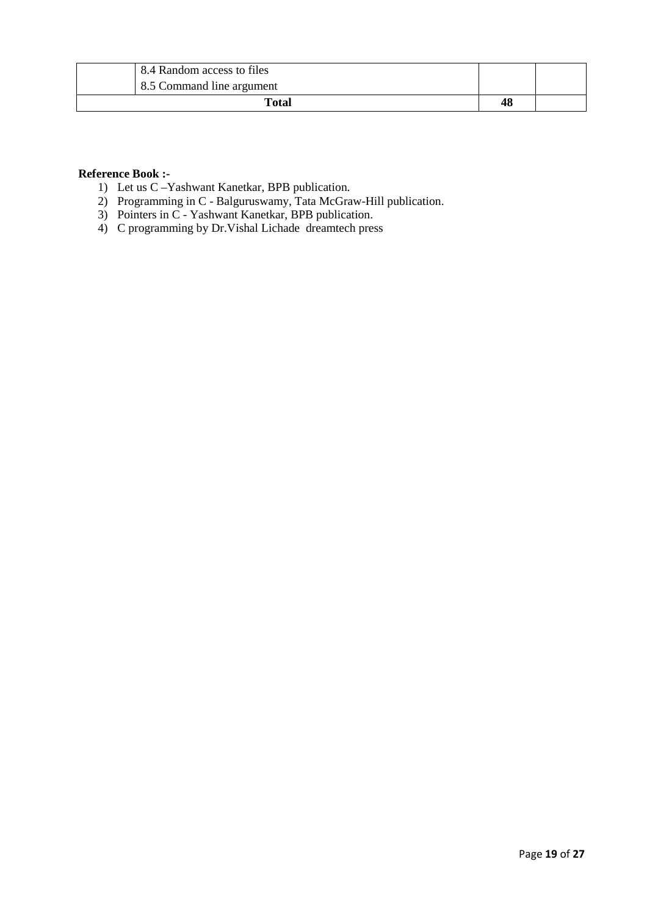| 8.4 Random access to files |    |  |
|----------------------------|----|--|
| 8.5 Command line argument  |    |  |
| <b>Total</b>               | 48 |  |

#### **Reference Book :-**

- 1) Let us C –Yashwant Kanetkar, BPB publication.
- 2) Programming in C Balguruswamy, Tata McGraw-Hill publication.
- 3) Pointers in C Yashwant Kanetkar, BPB publication.
- 4) C programming by Dr.Vishal Lichade dreamtech press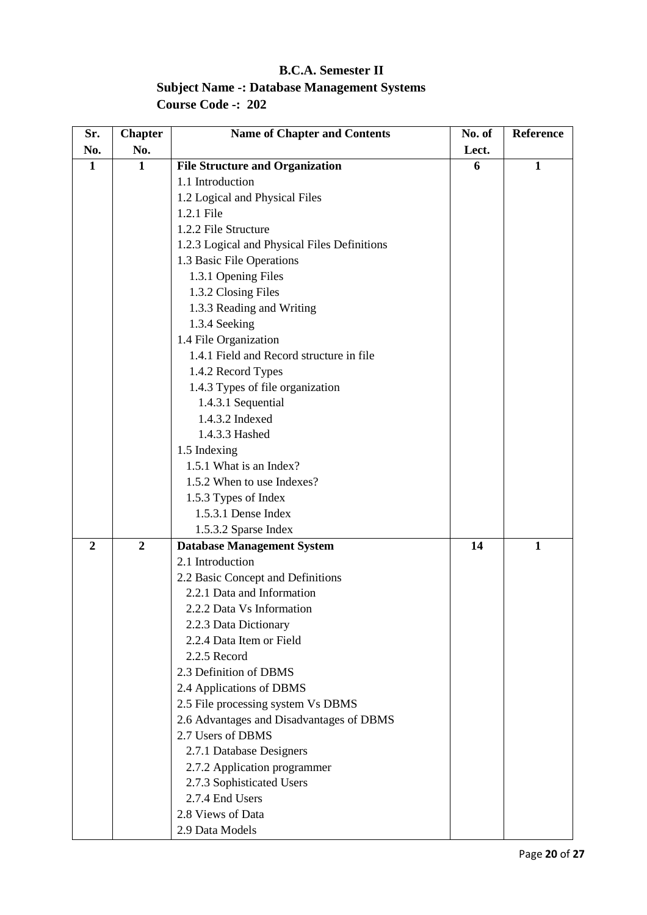## **B.C.A. Semester II Subject Name -: Database Management Systems Course Code -: 202**

| Sr.            | <b>Chapter</b> | <b>Name of Chapter and Contents</b>          | No. of | Reference    |
|----------------|----------------|----------------------------------------------|--------|--------------|
| No.            | No.            |                                              | Lect.  |              |
| $\mathbf{1}$   | $\mathbf{1}$   | <b>File Structure and Organization</b>       | 6      | $\mathbf{1}$ |
|                |                | 1.1 Introduction                             |        |              |
|                |                | 1.2 Logical and Physical Files               |        |              |
|                |                | 1.2.1 File                                   |        |              |
|                |                | 1.2.2 File Structure                         |        |              |
|                |                | 1.2.3 Logical and Physical Files Definitions |        |              |
|                |                | 1.3 Basic File Operations                    |        |              |
|                |                | 1.3.1 Opening Files                          |        |              |
|                |                | 1.3.2 Closing Files                          |        |              |
|                |                | 1.3.3 Reading and Writing                    |        |              |
|                |                | 1.3.4 Seeking                                |        |              |
|                |                | 1.4 File Organization                        |        |              |
|                |                | 1.4.1 Field and Record structure in file     |        |              |
|                |                | 1.4.2 Record Types                           |        |              |
|                |                | 1.4.3 Types of file organization             |        |              |
|                |                | 1.4.3.1 Sequential                           |        |              |
|                |                | 1.4.3.2 Indexed                              |        |              |
|                |                | 1.4.3.3 Hashed                               |        |              |
|                |                | 1.5 Indexing                                 |        |              |
|                |                | 1.5.1 What is an Index?                      |        |              |
|                |                | 1.5.2 When to use Indexes?                   |        |              |
|                |                | 1.5.3 Types of Index                         |        |              |
|                |                | 1.5.3.1 Dense Index                          |        |              |
|                |                | 1.5.3.2 Sparse Index                         |        |              |
| $\overline{2}$ | $\overline{2}$ | <b>Database Management System</b>            | 14     | $\mathbf{1}$ |
|                |                | 2.1 Introduction                             |        |              |
|                |                | 2.2 Basic Concept and Definitions            |        |              |
|                |                | 2.2.1 Data and Information                   |        |              |
|                |                | 2.2.2 Data Vs Information                    |        |              |
|                |                | 2.2.3 Data Dictionary                        |        |              |
|                |                | 2.2.4 Data Item or Field                     |        |              |
|                |                | 2.2.5 Record                                 |        |              |
|                |                | 2.3 Definition of DBMS                       |        |              |
|                |                | 2.4 Applications of DBMS                     |        |              |
|                |                | 2.5 File processing system Vs DBMS           |        |              |
|                |                | 2.6 Advantages and Disadvantages of DBMS     |        |              |
|                |                | 2.7 Users of DBMS                            |        |              |
|                |                | 2.7.1 Database Designers                     |        |              |
|                |                | 2.7.2 Application programmer                 |        |              |
|                |                | 2.7.3 Sophisticated Users                    |        |              |
|                |                | 2.7.4 End Users                              |        |              |
|                |                | 2.8 Views of Data                            |        |              |
|                |                | 2.9 Data Models                              |        |              |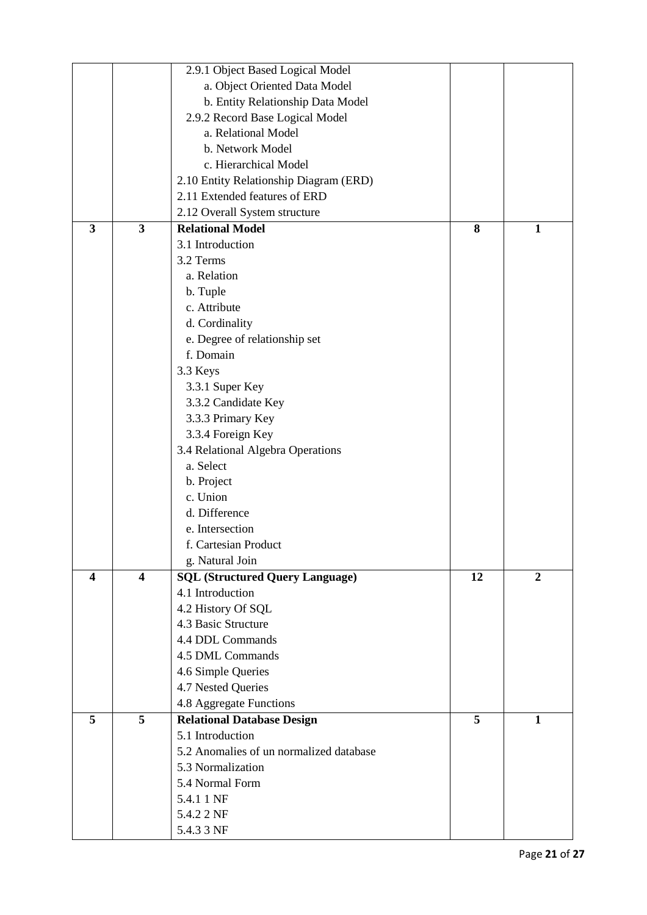|                         |                         | 2.9.1 Object Based Logical Model        |    |                |
|-------------------------|-------------------------|-----------------------------------------|----|----------------|
|                         |                         | a. Object Oriented Data Model           |    |                |
|                         |                         | b. Entity Relationship Data Model       |    |                |
|                         |                         | 2.9.2 Record Base Logical Model         |    |                |
|                         |                         | a. Relational Model                     |    |                |
|                         |                         | b. Network Model                        |    |                |
|                         |                         | c. Hierarchical Model                   |    |                |
|                         |                         | 2.10 Entity Relationship Diagram (ERD)  |    |                |
|                         |                         | 2.11 Extended features of ERD           |    |                |
|                         |                         | 2.12 Overall System structure           |    |                |
| $\overline{\mathbf{3}}$ | $\overline{\mathbf{3}}$ | <b>Relational Model</b>                 | 8  | 1              |
|                         |                         | 3.1 Introduction                        |    |                |
|                         |                         |                                         |    |                |
|                         |                         | 3.2 Terms                               |    |                |
|                         |                         | a. Relation                             |    |                |
|                         |                         | b. Tuple                                |    |                |
|                         |                         | c. Attribute                            |    |                |
|                         |                         | d. Cordinality                          |    |                |
|                         |                         | e. Degree of relationship set           |    |                |
|                         |                         | f. Domain                               |    |                |
|                         |                         | 3.3 Keys                                |    |                |
|                         |                         | 3.3.1 Super Key                         |    |                |
|                         |                         | 3.3.2 Candidate Key                     |    |                |
|                         |                         | 3.3.3 Primary Key                       |    |                |
|                         |                         | 3.3.4 Foreign Key                       |    |                |
|                         |                         | 3.4 Relational Algebra Operations       |    |                |
|                         |                         | a. Select                               |    |                |
|                         |                         | b. Project                              |    |                |
|                         |                         | c. Union                                |    |                |
|                         |                         | d. Difference                           |    |                |
|                         |                         | e. Intersection                         |    |                |
|                         |                         | f. Cartesian Product                    |    |                |
|                         |                         | g. Natural Join                         |    |                |
| $\overline{\mathbf{4}}$ | 4                       | <b>SQL (Structured Query Language)</b>  | 12 | $\overline{2}$ |
|                         |                         | 4.1 Introduction                        |    |                |
|                         |                         | 4.2 History Of SQL                      |    |                |
|                         |                         | 4.3 Basic Structure                     |    |                |
|                         |                         | 4.4 DDL Commands                        |    |                |
|                         |                         | 4.5 DML Commands                        |    |                |
|                         |                         | 4.6 Simple Queries                      |    |                |
|                         |                         | 4.7 Nested Queries                      |    |                |
|                         |                         | 4.8 Aggregate Functions                 |    |                |
| 5                       | 5                       | <b>Relational Database Design</b>       | 5  | $\mathbf{1}$   |
|                         |                         | 5.1 Introduction                        |    |                |
|                         |                         | 5.2 Anomalies of un normalized database |    |                |
|                         |                         | 5.3 Normalization                       |    |                |
|                         |                         | 5.4 Normal Form                         |    |                |
|                         |                         | 5.4.1 1 NF                              |    |                |
|                         |                         | 5.4.2 2 NF                              |    |                |
|                         |                         | 5.4.3 3 NF                              |    |                |
|                         |                         |                                         |    |                |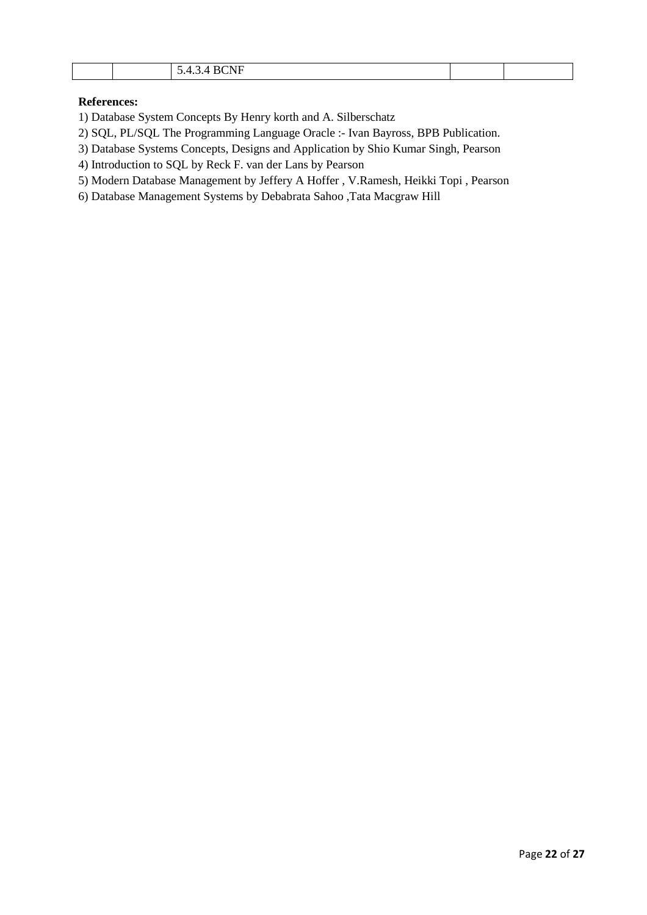| <b>RCNE</b><br>$\overline{\phantom{a}}$<br>$\overline{\phantom{a}}$<br>21 J.L<br>້.<br>. |  |
|------------------------------------------------------------------------------------------|--|
|------------------------------------------------------------------------------------------|--|

#### **References:**

1) Database System Concepts By Henry korth and A. Silberschatz

2) SQL, PL/SQL The Programming Language Oracle :- Ivan Bayross, BPB Publication.

3) Database Systems Concepts, Designs and Application by Shio Kumar Singh, Pearson

4) Introduction to SQL by Reck F. van der Lans by Pearson

5) Modern Database Management by Jeffery A Hoffer , V.Ramesh, Heikki Topi , Pearson

6) Database Management Systems by Debabrata Sahoo ,Tata Macgraw Hill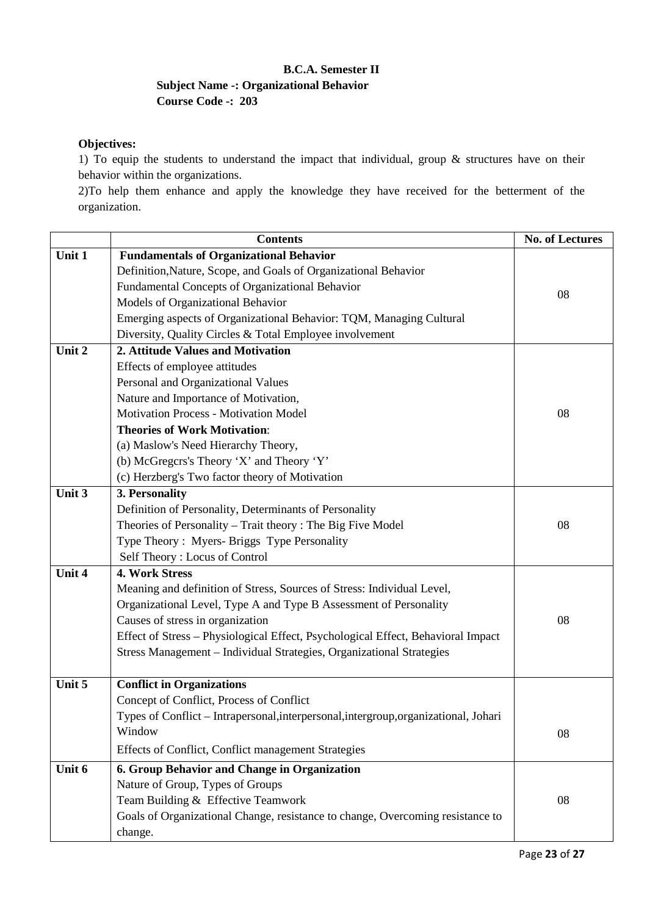### **B.C.A. Semester II Subject Name -: Organizational Behavior Course Code -: 203**

#### **Objectives:**

1) To equip the students to understand the impact that individual, group & structures have on their behavior within the organizations.

2)To help them enhance and apply the knowledge they have received for the betterment of the organization.

| Unit 1<br><b>Fundamentals of Organizational Behavior</b><br>Definition, Nature, Scope, and Goals of Organizational Behavior<br>Fundamental Concepts of Organizational Behavior<br>08<br>Models of Organizational Behavior<br>Emerging aspects of Organizational Behavior: TQM, Managing Cultural<br>Diversity, Quality Circles & Total Employee involvement<br>Unit 2<br>2. Attitude Values and Motivation<br>Effects of employee attitudes<br>Personal and Organizational Values<br>Nature and Importance of Motivation,<br>Motivation Process - Motivation Model<br>08<br><b>Theories of Work Motivation:</b><br>(a) Maslow's Need Hierarchy Theory,<br>(b) McGregors's Theory 'X' and Theory 'Y'<br>(c) Herzberg's Two factor theory of Motivation<br>Unit 3<br>3. Personality<br>Definition of Personality, Determinants of Personality<br>Theories of Personality – Trait theory: The Big Five Model<br>08<br>Type Theory: Myers- Briggs Type Personality<br>Self Theory: Locus of Control<br>Unit 4<br><b>4. Work Stress</b><br>Meaning and definition of Stress, Sources of Stress: Individual Level,<br>Organizational Level, Type A and Type B Assessment of Personality<br>Causes of stress in organization<br>08<br>Effect of Stress - Physiological Effect, Psychological Effect, Behavioral Impact<br>Stress Management - Individual Strategies, Organizational Strategies<br>Unit 5<br><b>Conflict in Organizations</b><br>Concept of Conflict, Process of Conflict<br>Types of Conflict - Intrapersonal, interpersonal, intergroup, organizational, Johari<br>Window<br>08<br>Effects of Conflict, Conflict management Strategies<br>Unit 6<br>6. Group Behavior and Change in Organization<br>Nature of Group, Types of Groups<br>Team Building & Effective Teamwork<br>08<br>Goals of Organizational Change, resistance to change, Overcoming resistance to | <b>Contents</b> | <b>No. of Lectures</b> |
|------------------------------------------------------------------------------------------------------------------------------------------------------------------------------------------------------------------------------------------------------------------------------------------------------------------------------------------------------------------------------------------------------------------------------------------------------------------------------------------------------------------------------------------------------------------------------------------------------------------------------------------------------------------------------------------------------------------------------------------------------------------------------------------------------------------------------------------------------------------------------------------------------------------------------------------------------------------------------------------------------------------------------------------------------------------------------------------------------------------------------------------------------------------------------------------------------------------------------------------------------------------------------------------------------------------------------------------------------------------------------------------------------------------------------------------------------------------------------------------------------------------------------------------------------------------------------------------------------------------------------------------------------------------------------------------------------------------------------------------------------------------------------------------------------------------------------------------------------------------------------|-----------------|------------------------|
|                                                                                                                                                                                                                                                                                                                                                                                                                                                                                                                                                                                                                                                                                                                                                                                                                                                                                                                                                                                                                                                                                                                                                                                                                                                                                                                                                                                                                                                                                                                                                                                                                                                                                                                                                                                                                                                                              |                 |                        |
|                                                                                                                                                                                                                                                                                                                                                                                                                                                                                                                                                                                                                                                                                                                                                                                                                                                                                                                                                                                                                                                                                                                                                                                                                                                                                                                                                                                                                                                                                                                                                                                                                                                                                                                                                                                                                                                                              |                 |                        |
|                                                                                                                                                                                                                                                                                                                                                                                                                                                                                                                                                                                                                                                                                                                                                                                                                                                                                                                                                                                                                                                                                                                                                                                                                                                                                                                                                                                                                                                                                                                                                                                                                                                                                                                                                                                                                                                                              |                 |                        |
|                                                                                                                                                                                                                                                                                                                                                                                                                                                                                                                                                                                                                                                                                                                                                                                                                                                                                                                                                                                                                                                                                                                                                                                                                                                                                                                                                                                                                                                                                                                                                                                                                                                                                                                                                                                                                                                                              |                 |                        |
|                                                                                                                                                                                                                                                                                                                                                                                                                                                                                                                                                                                                                                                                                                                                                                                                                                                                                                                                                                                                                                                                                                                                                                                                                                                                                                                                                                                                                                                                                                                                                                                                                                                                                                                                                                                                                                                                              |                 |                        |
|                                                                                                                                                                                                                                                                                                                                                                                                                                                                                                                                                                                                                                                                                                                                                                                                                                                                                                                                                                                                                                                                                                                                                                                                                                                                                                                                                                                                                                                                                                                                                                                                                                                                                                                                                                                                                                                                              |                 |                        |
|                                                                                                                                                                                                                                                                                                                                                                                                                                                                                                                                                                                                                                                                                                                                                                                                                                                                                                                                                                                                                                                                                                                                                                                                                                                                                                                                                                                                                                                                                                                                                                                                                                                                                                                                                                                                                                                                              |                 |                        |
|                                                                                                                                                                                                                                                                                                                                                                                                                                                                                                                                                                                                                                                                                                                                                                                                                                                                                                                                                                                                                                                                                                                                                                                                                                                                                                                                                                                                                                                                                                                                                                                                                                                                                                                                                                                                                                                                              |                 |                        |
|                                                                                                                                                                                                                                                                                                                                                                                                                                                                                                                                                                                                                                                                                                                                                                                                                                                                                                                                                                                                                                                                                                                                                                                                                                                                                                                                                                                                                                                                                                                                                                                                                                                                                                                                                                                                                                                                              |                 |                        |
|                                                                                                                                                                                                                                                                                                                                                                                                                                                                                                                                                                                                                                                                                                                                                                                                                                                                                                                                                                                                                                                                                                                                                                                                                                                                                                                                                                                                                                                                                                                                                                                                                                                                                                                                                                                                                                                                              |                 |                        |
|                                                                                                                                                                                                                                                                                                                                                                                                                                                                                                                                                                                                                                                                                                                                                                                                                                                                                                                                                                                                                                                                                                                                                                                                                                                                                                                                                                                                                                                                                                                                                                                                                                                                                                                                                                                                                                                                              |                 |                        |
|                                                                                                                                                                                                                                                                                                                                                                                                                                                                                                                                                                                                                                                                                                                                                                                                                                                                                                                                                                                                                                                                                                                                                                                                                                                                                                                                                                                                                                                                                                                                                                                                                                                                                                                                                                                                                                                                              |                 |                        |
|                                                                                                                                                                                                                                                                                                                                                                                                                                                                                                                                                                                                                                                                                                                                                                                                                                                                                                                                                                                                                                                                                                                                                                                                                                                                                                                                                                                                                                                                                                                                                                                                                                                                                                                                                                                                                                                                              |                 |                        |
|                                                                                                                                                                                                                                                                                                                                                                                                                                                                                                                                                                                                                                                                                                                                                                                                                                                                                                                                                                                                                                                                                                                                                                                                                                                                                                                                                                                                                                                                                                                                                                                                                                                                                                                                                                                                                                                                              |                 |                        |
|                                                                                                                                                                                                                                                                                                                                                                                                                                                                                                                                                                                                                                                                                                                                                                                                                                                                                                                                                                                                                                                                                                                                                                                                                                                                                                                                                                                                                                                                                                                                                                                                                                                                                                                                                                                                                                                                              |                 |                        |
|                                                                                                                                                                                                                                                                                                                                                                                                                                                                                                                                                                                                                                                                                                                                                                                                                                                                                                                                                                                                                                                                                                                                                                                                                                                                                                                                                                                                                                                                                                                                                                                                                                                                                                                                                                                                                                                                              |                 |                        |
|                                                                                                                                                                                                                                                                                                                                                                                                                                                                                                                                                                                                                                                                                                                                                                                                                                                                                                                                                                                                                                                                                                                                                                                                                                                                                                                                                                                                                                                                                                                                                                                                                                                                                                                                                                                                                                                                              |                 |                        |
|                                                                                                                                                                                                                                                                                                                                                                                                                                                                                                                                                                                                                                                                                                                                                                                                                                                                                                                                                                                                                                                                                                                                                                                                                                                                                                                                                                                                                                                                                                                                                                                                                                                                                                                                                                                                                                                                              |                 |                        |
|                                                                                                                                                                                                                                                                                                                                                                                                                                                                                                                                                                                                                                                                                                                                                                                                                                                                                                                                                                                                                                                                                                                                                                                                                                                                                                                                                                                                                                                                                                                                                                                                                                                                                                                                                                                                                                                                              |                 |                        |
|                                                                                                                                                                                                                                                                                                                                                                                                                                                                                                                                                                                                                                                                                                                                                                                                                                                                                                                                                                                                                                                                                                                                                                                                                                                                                                                                                                                                                                                                                                                                                                                                                                                                                                                                                                                                                                                                              |                 |                        |
|                                                                                                                                                                                                                                                                                                                                                                                                                                                                                                                                                                                                                                                                                                                                                                                                                                                                                                                                                                                                                                                                                                                                                                                                                                                                                                                                                                                                                                                                                                                                                                                                                                                                                                                                                                                                                                                                              |                 |                        |
|                                                                                                                                                                                                                                                                                                                                                                                                                                                                                                                                                                                                                                                                                                                                                                                                                                                                                                                                                                                                                                                                                                                                                                                                                                                                                                                                                                                                                                                                                                                                                                                                                                                                                                                                                                                                                                                                              |                 |                        |
|                                                                                                                                                                                                                                                                                                                                                                                                                                                                                                                                                                                                                                                                                                                                                                                                                                                                                                                                                                                                                                                                                                                                                                                                                                                                                                                                                                                                                                                                                                                                                                                                                                                                                                                                                                                                                                                                              |                 |                        |
|                                                                                                                                                                                                                                                                                                                                                                                                                                                                                                                                                                                                                                                                                                                                                                                                                                                                                                                                                                                                                                                                                                                                                                                                                                                                                                                                                                                                                                                                                                                                                                                                                                                                                                                                                                                                                                                                              |                 |                        |
|                                                                                                                                                                                                                                                                                                                                                                                                                                                                                                                                                                                                                                                                                                                                                                                                                                                                                                                                                                                                                                                                                                                                                                                                                                                                                                                                                                                                                                                                                                                                                                                                                                                                                                                                                                                                                                                                              |                 |                        |
|                                                                                                                                                                                                                                                                                                                                                                                                                                                                                                                                                                                                                                                                                                                                                                                                                                                                                                                                                                                                                                                                                                                                                                                                                                                                                                                                                                                                                                                                                                                                                                                                                                                                                                                                                                                                                                                                              |                 |                        |
|                                                                                                                                                                                                                                                                                                                                                                                                                                                                                                                                                                                                                                                                                                                                                                                                                                                                                                                                                                                                                                                                                                                                                                                                                                                                                                                                                                                                                                                                                                                                                                                                                                                                                                                                                                                                                                                                              |                 |                        |
|                                                                                                                                                                                                                                                                                                                                                                                                                                                                                                                                                                                                                                                                                                                                                                                                                                                                                                                                                                                                                                                                                                                                                                                                                                                                                                                                                                                                                                                                                                                                                                                                                                                                                                                                                                                                                                                                              |                 |                        |
|                                                                                                                                                                                                                                                                                                                                                                                                                                                                                                                                                                                                                                                                                                                                                                                                                                                                                                                                                                                                                                                                                                                                                                                                                                                                                                                                                                                                                                                                                                                                                                                                                                                                                                                                                                                                                                                                              |                 |                        |
|                                                                                                                                                                                                                                                                                                                                                                                                                                                                                                                                                                                                                                                                                                                                                                                                                                                                                                                                                                                                                                                                                                                                                                                                                                                                                                                                                                                                                                                                                                                                                                                                                                                                                                                                                                                                                                                                              |                 |                        |
|                                                                                                                                                                                                                                                                                                                                                                                                                                                                                                                                                                                                                                                                                                                                                                                                                                                                                                                                                                                                                                                                                                                                                                                                                                                                                                                                                                                                                                                                                                                                                                                                                                                                                                                                                                                                                                                                              |                 |                        |
|                                                                                                                                                                                                                                                                                                                                                                                                                                                                                                                                                                                                                                                                                                                                                                                                                                                                                                                                                                                                                                                                                                                                                                                                                                                                                                                                                                                                                                                                                                                                                                                                                                                                                                                                                                                                                                                                              |                 |                        |
|                                                                                                                                                                                                                                                                                                                                                                                                                                                                                                                                                                                                                                                                                                                                                                                                                                                                                                                                                                                                                                                                                                                                                                                                                                                                                                                                                                                                                                                                                                                                                                                                                                                                                                                                                                                                                                                                              |                 |                        |
|                                                                                                                                                                                                                                                                                                                                                                                                                                                                                                                                                                                                                                                                                                                                                                                                                                                                                                                                                                                                                                                                                                                                                                                                                                                                                                                                                                                                                                                                                                                                                                                                                                                                                                                                                                                                                                                                              |                 |                        |
|                                                                                                                                                                                                                                                                                                                                                                                                                                                                                                                                                                                                                                                                                                                                                                                                                                                                                                                                                                                                                                                                                                                                                                                                                                                                                                                                                                                                                                                                                                                                                                                                                                                                                                                                                                                                                                                                              |                 |                        |
|                                                                                                                                                                                                                                                                                                                                                                                                                                                                                                                                                                                                                                                                                                                                                                                                                                                                                                                                                                                                                                                                                                                                                                                                                                                                                                                                                                                                                                                                                                                                                                                                                                                                                                                                                                                                                                                                              |                 |                        |
|                                                                                                                                                                                                                                                                                                                                                                                                                                                                                                                                                                                                                                                                                                                                                                                                                                                                                                                                                                                                                                                                                                                                                                                                                                                                                                                                                                                                                                                                                                                                                                                                                                                                                                                                                                                                                                                                              | change.         |                        |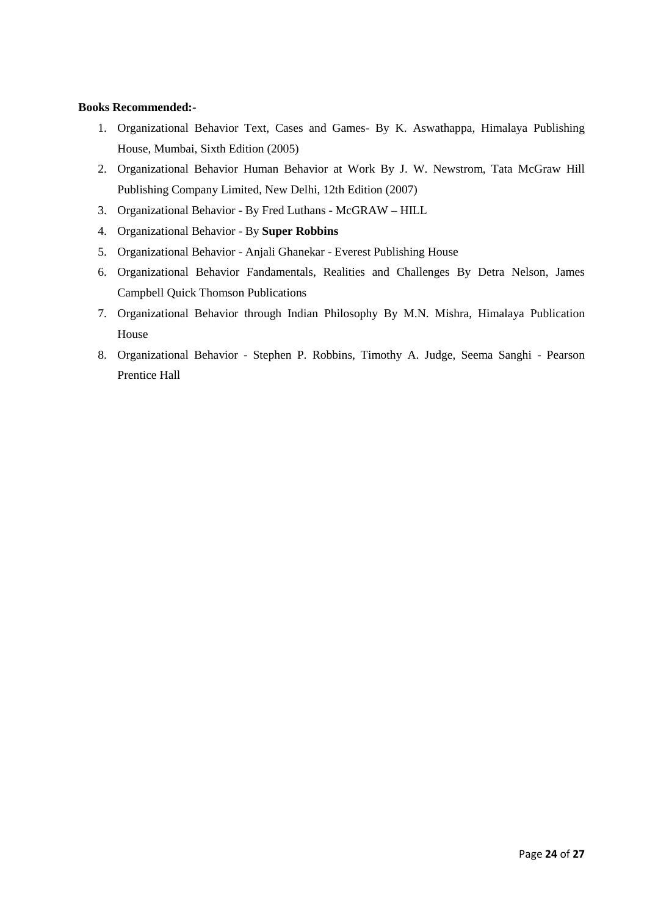#### **Books Recommended:-**

- 1. Organizational Behavior Text, Cases and Games- By K. Aswathappa, Himalaya Publishing House, Mumbai, Sixth Edition (2005)
- 2. Organizational Behavior Human Behavior at Work By J. W. Newstrom, Tata McGraw Hill Publishing Company Limited, New Delhi, 12th Edition (2007)
- 3. Organizational Behavior By Fred Luthans McGRAW HILL
- 4. Organizational Behavior By **Super Robbins**
- 5. Organizational Behavior Anjali Ghanekar Everest Publishing House
- 6. Organizational Behavior Fandamentals, Realities and Challenges By Detra Nelson, James Campbell Quick Thomson Publications
- 7. Organizational Behavior through Indian Philosophy By M.N. Mishra, Himalaya Publication House
- 8. Organizational Behavior Stephen P. Robbins, Timothy A. Judge, Seema Sanghi Pearson Prentice Hall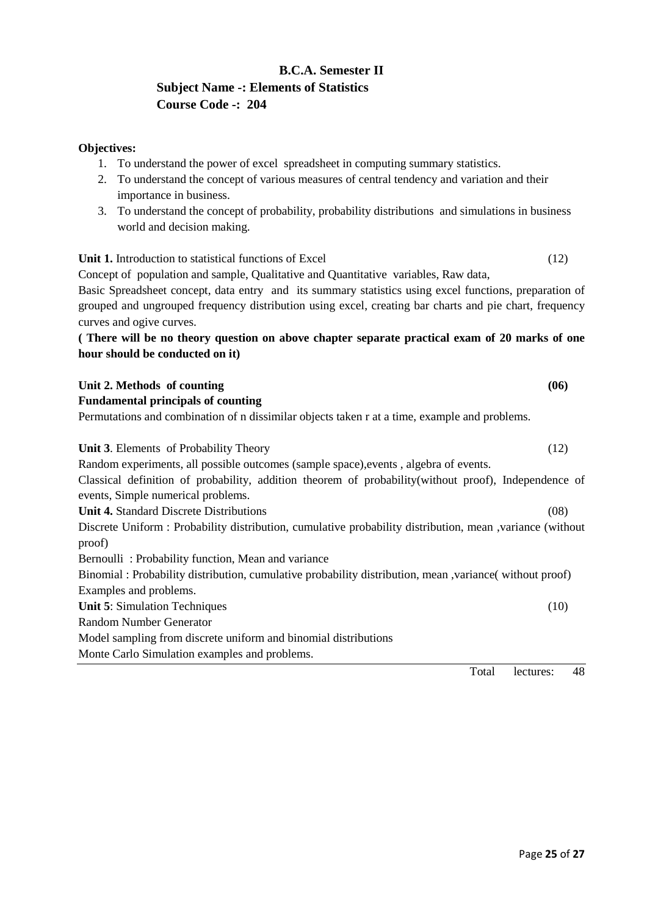## **B.C.A. Semester II Subject Name -: Elements of Statistics Course Code -: 204**

#### **Objectives:**

- 1. To understand the power of excel spreadsheet in computing summary statistics.
- 2. To understand the concept of various measures of central tendency and variation and their importance in business.
- 3. To understand the concept of probability, probability distributions and simulations in business world and decision making.

#### Unit 1. Introduction to statistical functions of Excel (12)

Concept of population and sample, Qualitative and Quantitative variables, Raw data,

Basic Spreadsheet concept, data entry and its summary statistics using excel functions, preparation of grouped and ungrouped frequency distribution using excel, creating bar charts and pie chart, frequency curves and ogive curves.

#### **( There will be no theory question on above chapter separate practical exam of 20 marks of one hour should be conducted on it)**

| Unit 2. Methods of counting                                                                                                                 | (06) |
|---------------------------------------------------------------------------------------------------------------------------------------------|------|
| <b>Fundamental principals of counting</b>                                                                                                   |      |
| Permutations and combination of n dissimilar objects taken r at a time, example and problems.                                               |      |
| <b>Unit 3.</b> Elements of Probability Theory                                                                                               | (12) |
| Random experiments, all possible outcomes (sample space), events, algebra of events.                                                        |      |
| Classical definition of probability, addition theorem of probability (without proof), Independence of<br>events, Simple numerical problems. |      |
| <b>Unit 4. Standard Discrete Distributions</b>                                                                                              | (08) |
| Discrete Uniform : Probability distribution, cumulative probability distribution, mean , variance (without<br>proof)                        |      |
| Bernoulli: Probability function, Mean and variance                                                                                          |      |
| Binomial: Probability distribution, cumulative probability distribution, mean, variance (without proof)                                     |      |
| Examples and problems.                                                                                                                      |      |
| <b>Unit 5: Simulation Techniques</b>                                                                                                        | (10) |
| <b>Random Number Generator</b>                                                                                                              |      |
| Model sampling from discrete uniform and binomial distributions                                                                             |      |
| Monte Carlo Simulation examples and problems.                                                                                               |      |
| Total<br>lectures:                                                                                                                          | 48   |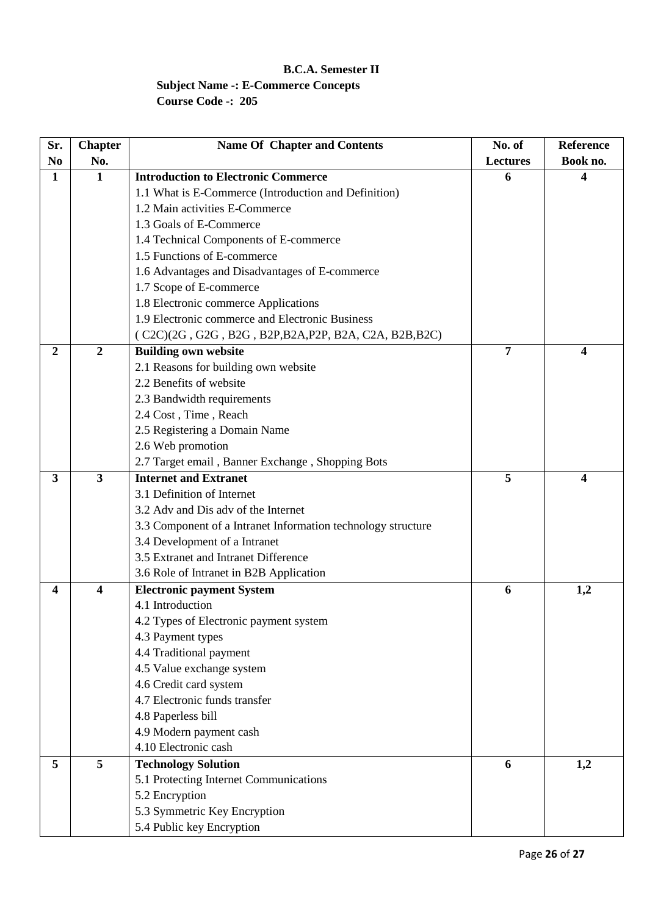## **B.C.A. Semester II Subject Name -: E-Commerce Concepts Course Code -: 205**

| Sr.            | <b>Chapter</b>          | <b>Name Of Chapter and Contents</b>                          | No. of          | Reference |
|----------------|-------------------------|--------------------------------------------------------------|-----------------|-----------|
| N <sub>0</sub> | No.                     |                                                              | <b>Lectures</b> | Book no.  |
| 1              | $\mathbf{1}$            | <b>Introduction to Electronic Commerce</b>                   | 6               | 4         |
|                |                         | 1.1 What is E-Commerce (Introduction and Definition)         |                 |           |
|                |                         | 1.2 Main activities E-Commerce                               |                 |           |
|                |                         | 1.3 Goals of E-Commerce                                      |                 |           |
|                |                         | 1.4 Technical Components of E-commerce                       |                 |           |
|                |                         | 1.5 Functions of E-commerce                                  |                 |           |
|                |                         | 1.6 Advantages and Disadvantages of E-commerce               |                 |           |
|                |                         | 1.7 Scope of E-commerce                                      |                 |           |
|                |                         | 1.8 Electronic commerce Applications                         |                 |           |
|                |                         | 1.9 Electronic commerce and Electronic Business              |                 |           |
|                |                         | (C2C)(2G, G2G, B2G, B2P, B2A, P2P, B2A, C2A, B2B, B2C)       |                 |           |
| 2              | $\overline{2}$          | <b>Building own website</b>                                  | 7               | 4         |
|                |                         | 2.1 Reasons for building own website                         |                 |           |
|                |                         | 2.2 Benefits of website                                      |                 |           |
|                |                         | 2.3 Bandwidth requirements                                   |                 |           |
|                |                         | 2.4 Cost, Time, Reach                                        |                 |           |
|                |                         | 2.5 Registering a Domain Name                                |                 |           |
|                |                         | 2.6 Web promotion                                            |                 |           |
|                |                         | 2.7 Target email, Banner Exchange, Shopping Bots             |                 |           |
| 3              | $\overline{\mathbf{3}}$ | <b>Internet and Extranet</b>                                 | 5               | 4         |
|                |                         | 3.1 Definition of Internet                                   |                 |           |
|                |                         | 3.2 Adv and Dis adv of the Internet                          |                 |           |
|                |                         | 3.3 Component of a Intranet Information technology structure |                 |           |
|                |                         | 3.4 Development of a Intranet                                |                 |           |
|                |                         | 3.5 Extranet and Intranet Difference                         |                 |           |
|                |                         | 3.6 Role of Intranet in B2B Application                      |                 |           |
| 4              | 4                       | <b>Electronic payment System</b>                             | 6               | 1,2       |
|                |                         | 4.1 Introduction                                             |                 |           |
|                |                         | 4.2 Types of Electronic payment system                       |                 |           |
|                |                         | 4.3 Payment types                                            |                 |           |
|                |                         | 4.4 Traditional payment                                      |                 |           |
|                |                         | 4.5 Value exchange system                                    |                 |           |
|                |                         | 4.6 Credit card system                                       |                 |           |
|                |                         | 4.7 Electronic funds transfer                                |                 |           |
|                |                         | 4.8 Paperless bill                                           |                 |           |
|                |                         | 4.9 Modern payment cash                                      |                 |           |
|                |                         | 4.10 Electronic cash                                         |                 |           |
| 5              | 5                       | <b>Technology Solution</b>                                   | 6               | 1,2       |
|                |                         | 5.1 Protecting Internet Communications                       |                 |           |
|                |                         | 5.2 Encryption                                               |                 |           |
|                |                         | 5.3 Symmetric Key Encryption                                 |                 |           |
|                |                         | 5.4 Public key Encryption                                    |                 |           |